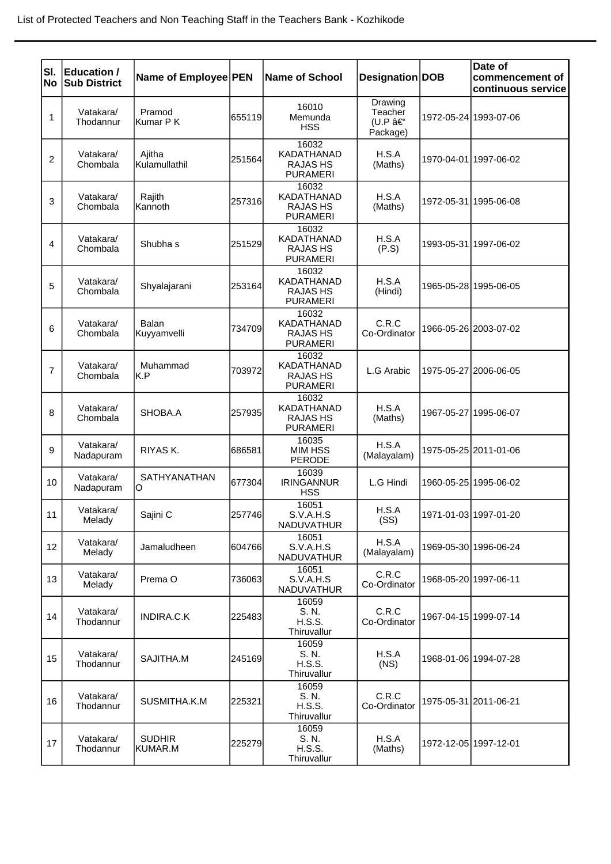| SI.<br>No               | <b>Education /</b><br><b>Sub District</b> | Name of Employee PEN     |         | <b>Name of School</b>                                            | Designation DOB                          | Date of<br>commencement of<br>continuous service |
|-------------------------|-------------------------------------------|--------------------------|---------|------------------------------------------------------------------|------------------------------------------|--------------------------------------------------|
| 1                       | Vatakara/<br>Thodannur                    | Pramod<br>Kumar P K      | 655119  | 16010<br>Memunda<br><b>HSS</b>                                   | Drawing<br>Teacher<br>(U.P –<br>Package) | 1972-05-24 1993-07-06                            |
| $\overline{2}$          | Vatakara/<br>Chombala                     | Ajitha<br>Kulamullathil  | 251564  | 16032<br>KADATHANAD<br><b>RAJAS HS</b><br><b>PURAMERI</b>        | H.S.A<br>(Maths)                         | 1970-04-01 1997-06-02                            |
| 3                       | Vatakara/<br>Chombala                     | Rajith<br>Kannoth        | 257316  | 16032<br>KADATHANAD<br><b>RAJAS HS</b><br><b>PURAMERI</b>        | H.S.A<br>(Maths)                         | 1972-05-31 1995-06-08                            |
| $\overline{\mathbf{4}}$ | Vatakara/<br>Chombala                     | Shubha <sub>s</sub>      | 251529  | 16032<br>KADATHANAD<br><b>RAJAS HS</b><br><b>PURAMERI</b>        | H.S.A<br>(P.S)                           | 1993-05-31 1997-06-02                            |
| 5                       | Vatakara/<br>Chombala                     | Shyalajarani             | 253164  | 16032<br>KADATHANAD<br><b>RAJAS HS</b><br><b>PURAMERI</b>        | H.S.A<br>(Hindi)                         | 1965-05-28 1995-06-05                            |
| 6                       | Vatakara/<br>Chombala                     | Balan<br>Kuyyamvelli     | 734709  | 16032<br><b>KADATHANAD</b><br><b>RAJAS HS</b><br><b>PURAMERI</b> | C.R.C<br>Co-Ordinator                    | 1966-05-26 2003-07-02                            |
| $\overline{7}$          | Vatakara/<br>Chombala                     | Muhammad<br>lK.P         | 703972  | 16032<br>KADATHANAD<br><b>RAJAS HS</b><br><b>PURAMERI</b>        | L.G Arabic                               | 1975-05-27 2006-06-05                            |
| 8                       | Vatakara/<br>Chombala                     | SHOBA.A                  | 257935  | 16032<br><b>KADATHANAD</b><br><b>RAJAS HS</b><br><b>PURAMERI</b> | H.S.A<br>(Maths)                         | 1967-05-27 1995-06-07                            |
| 9                       | Vatakara/<br>Nadapuram                    | RIYAS K.                 | 686581  | 16035<br><b>MIM HSS</b><br><b>PERODE</b>                         | H.S.A<br>(Malayalam)                     | 1975-05-25 2011-01-06                            |
| 10                      | Vatakara/<br>Nadapuram                    | SATHYANATHAN<br>O        | 677304  | 16039<br><b>IRINGANNUR</b><br><b>HSS</b>                         | L.G Hindi                                | 1960-05-25 1995-06-02                            |
| 11                      | Vatakara/<br>Melady                       | Sajini C                 | 2577461 | 16051<br>S.V.A.H.S<br>NADUVATHUR                                 | H.S.A<br>(SS)                            | 1971-01-03 1997-01-20                            |
| 12                      | Vatakara/<br>Melady                       | Jamaludheen              | 604766  | 16051<br>S.V.A.H.S<br>NADUVATHUR                                 | H.S.A<br>(Malayalam)                     | 1969-05-30 1996-06-24                            |
| 13                      | Vatakara/<br>Melady                       | Prema O                  | 736063  | 16051<br>S.V.A.H.S<br><b>NADUVATHUR</b>                          | C.R.C<br>Co-Ordinator                    | 1968-05-20 1997-06-11                            |
| 14                      | Vatakara/<br>Thodannur                    | <b>INDIRA.C.K</b>        | 225483  | 16059<br>S. N.<br>H.S.S.<br>Thiruvallur                          | C.R.C<br>Co-Ordinator                    | 1967-04-15 1999-07-14                            |
| 15                      | Vatakara/<br>Thodannur                    | SAJITHA.M                | 245169  | 16059<br>S. N.<br>H.S.S.<br>Thiruvallur                          | H.S.A<br>(NS)                            | 1968-01-06 1994-07-28                            |
| 16                      | Vatakara/<br>Thodannur                    | SUSMITHA.K.M             | 225321  | 16059<br>S. N.<br><b>H.S.S.</b><br>Thiruvallur                   | C.R.C<br>Co-Ordinator                    | 1975-05-31 2011-06-21                            |
| 17                      | Vatakara/<br>Thodannur                    | <b>SUDHIR</b><br>KUMAR.M | 225279  | 16059<br>S. N.<br>H.S.S.<br>Thiruvallur                          | H.S.A<br>(Maths)                         | 1972-12-05 1997-12-01                            |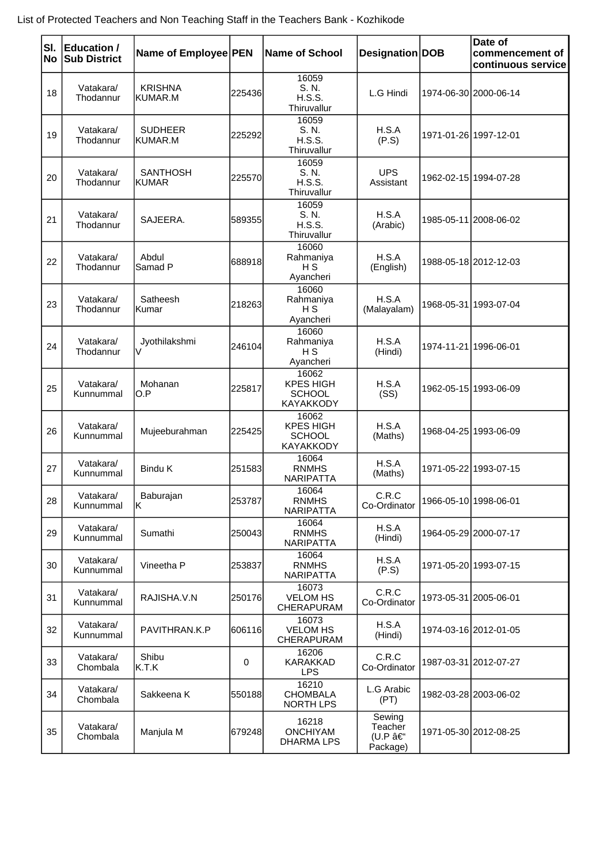| SI.<br><b>No</b> | Education /<br><b>Sub District</b> | Name of Employee PEN      |        | <b>Name of School</b>                                   | Designation DOB                         | Date of<br>commencement of<br>continuous service |
|------------------|------------------------------------|---------------------------|--------|---------------------------------------------------------|-----------------------------------------|--------------------------------------------------|
| 18               | Vatakara/<br>Thodannur             | <b>KRISHNA</b><br>KUMAR.M | 225436 | 16059<br>S. N.<br><b>H.S.S.</b><br>Thiruvallur          | L.G Hindi                               | 1974-06-30 2000-06-14                            |
| 19               | Vatakara/<br>Thodannur             | <b>SUDHEER</b><br>KUMAR.M | 225292 | 16059<br>S. N.<br>H.S.S.<br>Thiruvallur                 | H.S.A<br>(P.S)                          | 1971-01-26 1997-12-01                            |
| 20               | Vatakara/<br>Thodannur             | <b>SANTHOSH</b><br>KUMAR  | 225570 | 16059<br>S. N.<br>H.S.S.<br>Thiruvallur                 | <b>UPS</b><br>Assistant                 | 1962-02-15 1994-07-28                            |
| 21               | Vatakara/<br>Thodannur             | SAJEERA.                  | 589355 | 16059<br>S. N.<br><b>H.S.S.</b><br>Thiruvallur          | H.S.A<br>(Arabic)                       | 1985-05-11 2008-06-02                            |
| 22               | Vatakara/<br>Thodannur             | Abdul<br>Samad P          | 688918 | 16060<br>Rahmaniya<br>H <sub>S</sub><br>Ayancheri       | H.S.A<br>(English)                      | 1988-05-18 2012-12-03                            |
| 23               | Vatakara/<br>Thodannur             | Satheesh<br>Kumar         | 218263 | 16060<br>Rahmaniya<br>H S<br>Ayancheri                  | H.S.A<br>(Malayalam)                    | 1968-05-31 1993-07-04                            |
| 24               | Vatakara/<br>Thodannur             | Jyothilakshmi<br>V        | 246104 | 16060<br>Rahmaniya<br>H S<br>Ayancheri                  | H.S.A<br>(Hindi)                        | 1974-11-21 1996-06-01                            |
| 25               | Vatakara/<br>Kunnummal             | Mohanan<br>O.P            | 225817 | 16062<br><b>KPES HIGH</b><br><b>SCHOOL</b><br>KAYAKKODY | H.S.A<br>(SS)                           | 1962-05-15 1993-06-09                            |
| 26               | Vatakara/<br>Kunnummal             | Mujeeburahman             | 225425 | 16062<br><b>KPES HIGH</b><br><b>SCHOOL</b><br>KAYAKKODY | H.S.A<br>(Maths)                        | 1968-04-25 1993-06-09                            |
| 27               | Vatakara/<br>Kunnummal             | <b>Bindu K</b>            | 251583 | 16064<br><b>RNMHS</b><br><b>NARIPATTA</b>               | H.S.A<br>(Maths)                        | 1971-05-22 1993-07-15                            |
| 28               | Vatakara/<br>Kunnummal             | Baburajan<br>ΙK           | 253787 | 16064<br><b>RNMHS</b><br><b>NARIPATTA</b>               | C.R.C<br>Co-Ordinator                   | 1966-05-10 1998-06-01                            |
| 29               | Vatakara/<br>Kunnummal             | Sumathi                   | 250043 | 16064<br><b>RNMHS</b><br><b>NARIPATTA</b>               | H.S.A<br>(Hindi)                        | 1964-05-29 2000-07-17                            |
| 30               | Vatakara/<br>Kunnummal             | Vineetha P                | 253837 | 16064<br><b>RNMHS</b><br>NARIPATTA                      | H.S.A<br>(P.S)                          | 1971-05-20 1993-07-15                            |
| 31               | Vatakara/<br>Kunnummal             | RAJISHA.V.N               | 250176 | 16073<br><b>VELOM HS</b><br>CHERAPURAM                  | C.R.C<br>Co-Ordinator                   | 1973-05-31 2005-06-01                            |
| 32               | Vatakara/<br>Kunnummal             | PAVITHRAN.K.P             | 606116 | 16073<br><b>VELOM HS</b><br>CHERAPURAM                  | H.S.A<br>(Hindi)                        | 1974-03-16 2012-01-05                            |
| 33               | Vatakara/<br>Chombala              | Shibu<br>K.T.K            | 0      | 16206<br>KARAKKAD<br><b>LPS</b>                         | C.R.C<br>Co-Ordinator                   | 1987-03-31 2012-07-27                            |
| 34               | Vatakara/<br>Chombala              | Sakkeena K                | 550188 | 16210<br><b>CHOMBALA</b><br>NORTH LPS                   | L.G Arabic<br>(PT)                      | 1982-03-28 2003-06-02                            |
| 35               | Vatakara/<br>Chombala              | Manjula M                 | 679248 | 16218<br><b>ONCHIYAM</b><br>DHARMA LPS                  | Sewing<br>Teacher<br>(U.P –<br>Package) | 1971-05-30 2012-08-25                            |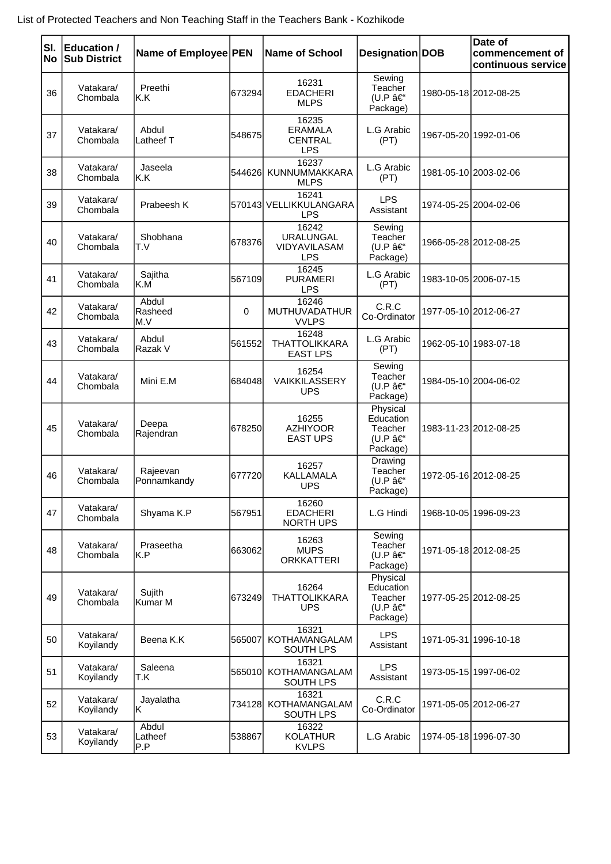| SI.<br>No | <b>Education /</b><br><b>Sub District</b> | Name of Employee PEN     |        | <b>Name of School</b>                                   | Designation DOB                                        | Date of<br>commencement of<br>continuous service |
|-----------|-------------------------------------------|--------------------------|--------|---------------------------------------------------------|--------------------------------------------------------|--------------------------------------------------|
| 36        | Vatakara/<br>Chombala                     | Preethi<br>K.K           | 673294 | 16231<br><b>EDACHERI</b><br><b>MLPS</b>                 | Sewing<br>Teacher<br>(U.P –<br>Package)                | 1980-05-18 2012-08-25                            |
| 37        | Vatakara/<br>Chombala                     | Abdul<br>Latheef T       | 548675 | 16235<br><b>ERAMALA</b><br><b>CENTRAL</b><br><b>LPS</b> | L.G Arabic<br>(PT)                                     | 1967-05-20 1992-01-06                            |
| 38        | Vatakara/<br>Chombala                     | Jaseela<br>K.K           |        | 16237<br>544626 KUNNUMMAKKARA<br><b>MLPS</b>            | L.G Arabic<br>(PT)                                     | 1981-05-10 2003-02-06                            |
| 39        | Vatakara/<br>Chombala                     | Prabeesh K               |        | 16241<br>570143 VELLIKKULANGARA<br><b>LPS</b>           | <b>LPS</b><br>Assistant                                | 1974-05-25 2004-02-06                            |
| 40        | Vatakara/<br>Chombala                     | Shobhana<br>T.V          | 678376 | 16242<br>URALUNGAL<br>VIDYAVILASAM<br><b>LPS</b>        | Sewing<br>Teacher<br>(U.P –<br>Package)                | 1966-05-28 2012-08-25                            |
| 41        | Vatakara/<br>Chombala                     | Sajitha<br>K.M           | 567109 | 16245<br><b>PURAMERI</b><br><b>LPS</b>                  | L.G Arabic<br>(PT)                                     | 1983-10-05 2006-07-15                            |
| 42        | Vatakara/<br>Chombala                     | Abdul<br>Rasheed<br>lM.V | 0      | 16246<br><b>MUTHUVADATHUR</b><br><b>VVLPS</b>           | C.R.C<br>Co-Ordinator                                  | 1977-05-10 2012-06-27                            |
| 43        | Vatakara/<br>Chombala                     | Abdul<br>Razak V         | 561552 | 16248<br><b>THATTOLIKKARA</b><br><b>EAST LPS</b>        | L.G Arabic<br>(PT)                                     | 1962-05-10 1983-07-18                            |
| 44        | Vatakara/<br>Chombala                     | Mini E.M                 | 684048 | 16254<br>VAIKKILASSERY<br><b>UPS</b>                    | Sewing<br>Teacher<br>(U.P –<br>Package)                | 1984-05-10 2004-06-02                            |
| 45        | Vatakara/<br>Chombala                     | Deepa<br>Rajendran       | 678250 | 16255<br><b>AZHIYOOR</b><br><b>EAST UPS</b>             | Physical<br>Education<br>Teacher<br>(U.P –<br>Package) | 1983-11-23 2012-08-25                            |
| 46        | Vatakara/<br>Chombala                     | Rajeevan<br>Ponnamkandy  | 677720 | 16257<br>KALLAMALA<br><b>UPS</b>                        | Drawing<br>Teacher<br>(U.P –<br>Package)               | 1972-05-16 2012-08-25                            |
| 47        | Vatakara/<br>Chombala                     | Shyama K.P               | 567951 | 16260<br><b>EDACHERI</b><br><b>NORTH UPS</b>            | L.G Hindi                                              | 1968-10-05 1996-09-23                            |
| 48        | Vatakara/<br>Chombala                     | Praseetha<br>K.P         | 663062 | 16263<br><b>MUPS</b><br><b>ORKKATTERI</b>               | Sewing<br>Teacher<br>(U.P –<br>Package)                | 1971-05-18 2012-08-25                            |
| 49        | Vatakara/<br>Chombala                     | Sujith<br>Kumar M        | 673249 | 16264<br><b>THATTOLIKKARA</b><br><b>UPS</b>             | Physical<br>Education<br>Teacher<br>(U.P –<br>Package) | 1977-05-25 2012-08-25                            |
| 50        | Vatakara/<br>Koyilandy                    | Beena K.K                | 565007 | 16321<br>KOTHAMANGALAM<br>SOUTH LPS                     | <b>LPS</b><br>Assistant                                | 1971-05-31 1996-10-18                            |
| 51        | Vatakara/<br>Koyilandy                    | Saleena<br>T.K           | 565010 | 16321<br>KOTHAMANGALAM<br><b>SOUTH LPS</b>              | <b>LPS</b><br>Assistant                                | 1973-05-15 1997-06-02                            |
| 52        | Vatakara/<br>Koyilandy                    | Jayalatha<br>κ           | 734128 | 16321<br>KOTHAMANGALAM<br>SOUTH LPS                     | C.R.C<br>Co-Ordinator                                  | 1971-05-05 2012-06-27                            |
| 53        | Vatakara/<br>Koyilandy                    | Abdul<br>Latheef<br>P.P  | 538867 | 16322<br><b>KOLATHUR</b><br><b>KVLPS</b>                | L.G Arabic                                             | 1974-05-18 1996-07-30                            |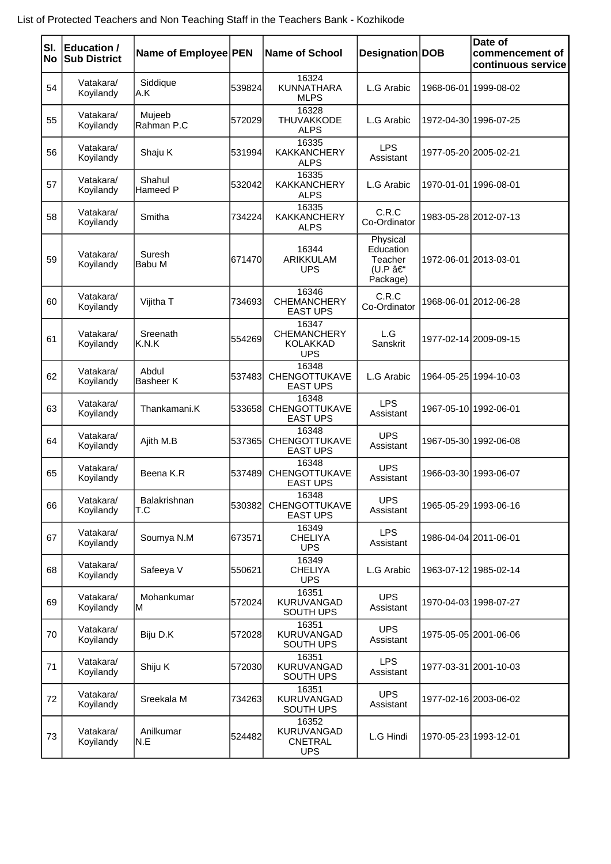| SI.<br>No | <b>Education /</b><br><b>Sub District</b> | Name of Employee PEN      |        | <b>Name of School</b>                                        | Designation   DOB                                      | Date of<br>commencement of<br>continuous service |
|-----------|-------------------------------------------|---------------------------|--------|--------------------------------------------------------------|--------------------------------------------------------|--------------------------------------------------|
| 54        | Vatakara/<br>Koyilandy                    | Siddique<br>A.K           | 539824 | 16324<br><b>KUNNATHARA</b><br><b>MLPS</b>                    | L.G Arabic                                             | 1968-06-01 1999-08-02                            |
| 55        | Vatakara/<br>Koyilandy                    | Mujeeb<br>Rahman P.C      | 572029 | 16328<br><b>THUVAKKODE</b><br><b>ALPS</b>                    | L.G Arabic                                             | 1972-04-30 1996-07-25                            |
| 56        | Vatakara/<br>Koyilandy                    | Shaju K                   | 531994 | 16335<br><b>KAKKANCHERY</b><br><b>ALPS</b>                   | <b>LPS</b><br>Assistant                                | 1977-05-20 2005-02-21                            |
| 57        | Vatakara/<br>Koyilandy                    | Shahul<br><b>Hameed P</b> | 532042 | 16335<br><b>KAKKANCHERY</b><br><b>ALPS</b>                   | L.G Arabic                                             | 1970-01-01 1996-08-01                            |
| 58        | Vatakara/<br>Koyilandy                    | Smitha                    | 734224 | 16335<br><b>KAKKANCHERY</b><br><b>ALPS</b>                   | C.R.C<br>Co-Ordinator                                  | 1983-05-28 2012-07-13                            |
| 59        | Vatakara/<br>Koyilandy                    | Suresh<br>Babu M          | 671470 | 16344<br>ARIKKULAM<br><b>UPS</b>                             | Physical<br>Education<br>Teacher<br>(U.P –<br>Package) | 1972-06-01 2013-03-01                            |
| 60        | Vatakara/<br>Koyilandy                    | Vijitha T                 | 734693 | 16346<br><b>CHEMANCHERY</b><br><b>EAST UPS</b>               | C.R.C<br>Co-Ordinator                                  | 1968-06-01 2012-06-28                            |
| 61        | Vatakara/<br>Koyilandy                    | Sreenath<br>K.N.K         | 554269 | 16347<br><b>CHEMANCHERY</b><br><b>KOLAKKAD</b><br><b>UPS</b> | L.G<br>Sanskrit                                        | 1977-02-14 2009-09-15                            |
| 62        | Vatakara/<br>Koyilandy                    | Abdul<br><b>Basheer K</b> | 537483 | 16348<br>CHENGOTTUKAVE<br><b>EAST UPS</b>                    | L.G Arabic                                             | 1964-05-25 1994-10-03                            |
| 63        | Vatakara/<br>Koyilandy                    | Thankamani.K              | 533658 | 16348<br>CHENGOTTUKAVE<br><b>EAST UPS</b>                    | <b>LPS</b><br>Assistant                                | 1967-05-10 1992-06-01                            |
| 64        | Vatakara/<br>Koyilandy                    | Ajith M.B                 | 537365 | 16348<br>CHENGOTTUKAVE<br><b>EAST UPS</b>                    | <b>UPS</b><br>Assistant                                | 1967-05-30 1992-06-08                            |
| 65        | Vatakara/<br>Koyilandy                    | Beena K.R                 | 537489 | 16348<br>CHENGOTTUKAVE<br><b>EAST UPS</b>                    | <b>UPS</b><br>Assistant                                | 1966-03-30 1993-06-07                            |
| 66        | Vatakara/<br>Koyilandy                    | Balakrishnan<br>T.C       | 530382 | 16348<br>CHENGOTTUKAVE<br><b>EAST UPS</b>                    | <b>UPS</b><br>Assistant                                | 1965-05-29 1993-06-16                            |
| 67        | Vatakara/<br>Koyilandy                    | Soumya N.M                | 673571 | 16349<br><b>CHELIYA</b><br><b>UPS</b>                        | <b>LPS</b><br>Assistant                                | 1986-04-04 2011-06-01                            |
| 68        | Vatakara/<br>Koyilandy                    | Safeeya V                 | 550621 | 16349<br><b>CHELIYA</b><br><b>UPS</b>                        | L.G Arabic                                             | 1963-07-12 1985-02-14                            |
| 69        | Vatakara/<br>Koyilandy                    | Mohankumar<br>ΙM          | 572024 | 16351<br>KURUVANGAD<br>SOUTH UPS                             | <b>UPS</b><br>Assistant                                | 1970-04-03 1998-07-27                            |
| 70        | Vatakara/<br>Koyilandy                    | Biju D.K                  | 572028 | 16351<br>KURUVANGAD<br>SOUTH UPS                             | <b>UPS</b><br>Assistant                                | 1975-05-05 2001-06-06                            |
| 71        | Vatakara/<br>Koyilandy                    | Shiju K                   | 572030 | 16351<br>KURUVANGAD<br>SOUTH UPS                             | <b>LPS</b><br>Assistant                                | 1977-03-31 2001-10-03                            |
| 72        | Vatakara/<br>Koyilandy                    | Sreekala M                | 734263 | 16351<br>KURUVANGAD<br>SOUTH UPS                             | <b>UPS</b><br>Assistant                                | 1977-02-16 2003-06-02                            |
| 73        | Vatakara/<br>Koyilandy                    | Anilkumar<br>IN.E         | 524482 | 16352<br>KURUVANGAD<br>CNETRAL<br><b>UPS</b>                 | L.G Hindi                                              | 1970-05-23 1993-12-01                            |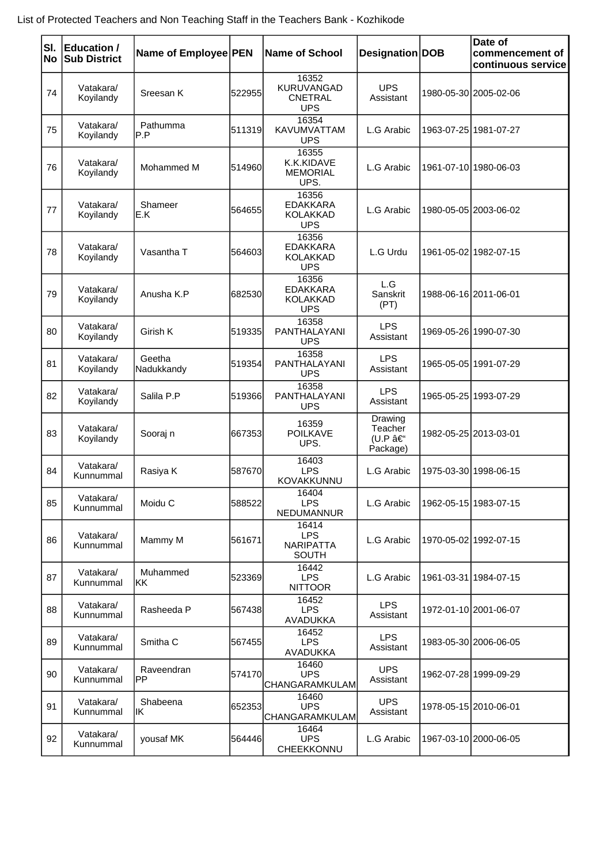| SI.<br>No | <b>Education /</b><br><b>Sub District</b> | Name of Employee PEN |        | <b>Name of School</b>                                     | Designation   DOB                        | Date of<br>commencement of<br>continuous service |
|-----------|-------------------------------------------|----------------------|--------|-----------------------------------------------------------|------------------------------------------|--------------------------------------------------|
| 74        | Vatakara/<br>Koyilandy                    | Sreesan K            | 522955 | 16352<br>KURUVANGAD<br><b>CNETRAL</b><br><b>UPS</b>       | <b>UPS</b><br>Assistant                  | 1980-05-30 2005-02-06                            |
| 75        | Vatakara/<br>Koyilandy                    | Pathumma<br>P.P      | 511319 | 16354<br>KAVUMVATTAM<br><b>UPS</b>                        | L.G Arabic                               | 1963-07-25 1981-07-27                            |
| 76        | Vatakara/<br>Koyilandy                    | Mohammed M           | 514960 | 16355<br>K.K.KIDAVE<br><b>MEMORIAL</b><br>UPS.            | L.G Arabic                               | 1961-07-10 1980-06-03                            |
| 77        | Vatakara/<br>Koyilandy                    | Shameer<br>IE.K      | 564655 | 16356<br><b>EDAKKARA</b><br><b>KOLAKKAD</b><br><b>UPS</b> | L.G Arabic                               | 1980-05-05 2003-06-02                            |
| 78        | Vatakara/<br>Koyilandy                    | Vasantha T           | 564603 | 16356<br><b>EDAKKARA</b><br><b>KOLAKKAD</b><br><b>UPS</b> | L.G Urdu                                 | 1961-05-02 1982-07-15                            |
| 79        | Vatakara/<br>Koyilandy                    | Anusha K.P           | 682530 | 16356<br><b>EDAKKARA</b><br><b>KOLAKKAD</b><br><b>UPS</b> | L.G<br>Sanskrit<br>(PT)                  | 1988-06-16 2011-06-01                            |
| 80        | Vatakara/<br>Koyilandy                    | Girish K             | 519335 | 16358<br>PANTHALAYANI<br><b>UPS</b>                       | <b>LPS</b><br>Assistant                  | 1969-05-26 1990-07-30                            |
| 81        | Vatakara/<br>Koyilandy                    | Geetha<br>Nadukkandy | 519354 | 16358<br>PANTHALAYANI<br><b>UPS</b>                       | <b>LPS</b><br>Assistant                  | 1965-05-05 1991-07-29                            |
| 82        | Vatakara/<br>Koyilandy                    | Salila P.P           | 519366 | 16358<br>PANTHALAYANI<br><b>UPS</b>                       | <b>LPS</b><br>Assistant                  | 1965-05-25 1993-07-29                            |
| 83        | Vatakara/<br>Koyilandy                    | Sooraj n             | 667353 | 16359<br><b>POILKAVE</b><br>UPS.                          | Drawing<br>Teacher<br>(U.P –<br>Package) | 1982-05-25 2013-03-01                            |
| 84        | Vatakara/<br>Kunnummal                    | Rasiya K             | 587670 | 16403<br><b>LPS</b><br>KOVAKKUNNU                         | L.G Arabic                               | 1975-03-30 1998-06-15                            |
| 85        | Vatakara/<br>Kunnummal                    | Moidu C              | 588522 | 16404<br><b>LPS</b><br><b>NEDUMANNUR</b>                  | L.G Arabic                               | 1962-05-15 1983-07-15                            |
| 86        | Vatakara/<br>Kunnummal                    | Mammy M              | 561671 | 16414<br><b>LPS</b><br><b>NARIPATTA</b><br><b>SOUTH</b>   | L.G Arabic                               | 1970-05-02 1992-07-15                            |
| 87        | Vatakara/<br>Kunnummal                    | Muhammed<br> KK      | 523369 | 16442<br><b>LPS</b><br><b>NITTOOR</b>                     | L.G Arabic                               | 1961-03-31 1984-07-15                            |
| 88        | Vatakara/<br>Kunnummal                    | Rasheeda P           | 567438 | 16452<br><b>LPS</b><br>AVADUKKA                           | <b>LPS</b><br>Assistant                  | 1972-01-10 2001-06-07                            |
| 89        | Vatakara/<br>Kunnummal                    | Smitha <sub>C</sub>  | 567455 | 16452<br><b>LPS</b><br>AVADUKKA                           | <b>LPS</b><br>Assistant                  | 1983-05-30 2006-06-05                            |
| 90        | Vatakara/<br>Kunnummal                    | Raveendran<br>PP     | 574170 | 16460<br><b>UPS</b><br>CHANGARAMKULAM                     | <b>UPS</b><br>Assistant                  | 1962-07-28 1999-09-29                            |
| 91        | Vatakara/<br>Kunnummal                    | Shabeena<br>ΙK       | 652353 | 16460<br><b>UPS</b><br>CHANGARAMKULAM                     | <b>UPS</b><br>Assistant                  | 1978-05-15 2010-06-01                            |
| 92        | Vatakara/<br>Kunnummal                    | yousaf MK            | 564446 | 16464<br><b>UPS</b><br>CHEEKKONNU                         | L.G Arabic                               | 1967-03-10 2000-06-05                            |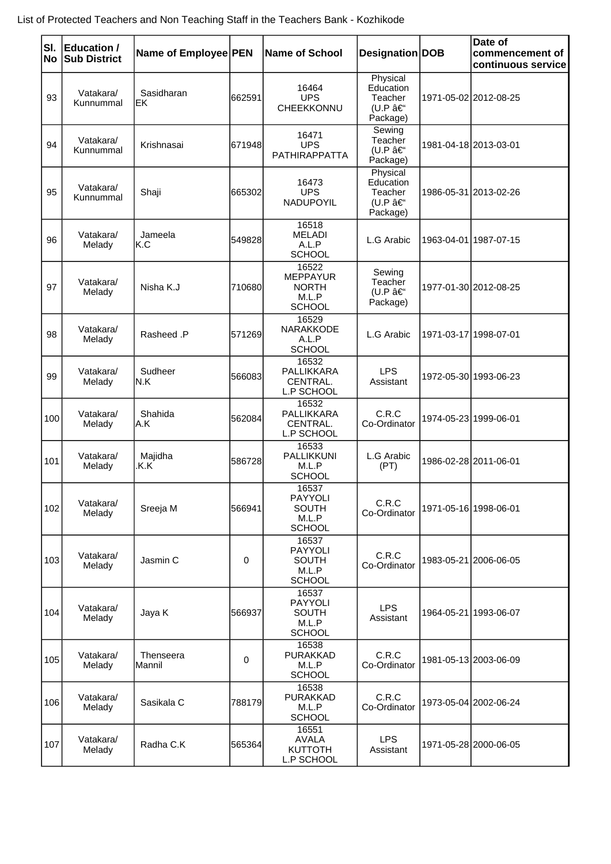| SI.<br>No | Education /<br><b>Sub District</b> | Name of Employee PEN |        | <b>Name of School</b>                                              | Designation DOB                                        | Date of<br>commencement of<br>continuous service |
|-----------|------------------------------------|----------------------|--------|--------------------------------------------------------------------|--------------------------------------------------------|--------------------------------------------------|
| 93        | Vatakara/<br>Kunnummal             | Sasidharan<br>lek    | 662591 | 16464<br><b>UPS</b><br>CHEEKKONNU                                  | Physical<br>Education<br>Teacher<br>(U.P –<br>Package) | 1971-05-02 2012-08-25                            |
| 94        | Vatakara/<br>Kunnummal             | Krishnasai           | 671948 | 16471<br><b>UPS</b><br>PATHIRAPPATTA                               | Sewing<br>Teacher<br>(U.P –<br>Package)                | 1981-04-18 2013-03-01                            |
| 95        | Vatakara/<br>Kunnummal             | Shaji                | 665302 | 16473<br><b>UPS</b><br>NADUPOYIL                                   | Physical<br>Education<br>Teacher<br>(U.P –<br>Package) | 1986-05-31 2013-02-26                            |
| 96        | Vatakara/<br>Melady                | Jameela<br>K.C       | 549828 | 16518<br><b>MELADI</b><br>A.L.P<br><b>SCHOOL</b>                   | L.G Arabic                                             | 1963-04-01 1987-07-15                            |
| 97        | Vatakara/<br>Melady                | Nisha K.J            | 710680 | 16522<br><b>MEPPAYUR</b><br><b>NORTH</b><br>M.L.P<br><b>SCHOOL</b> | Sewing<br>Teacher<br>(U.P –<br>Package)                | 1977-01-30 2012-08-25                            |
| 98        | Vatakara/<br>Melady                | Rasheed .P           | 571269 | 16529<br>NARAKKODE<br>A.L.P<br><b>SCHOOL</b>                       | L.G Arabic                                             | 1971-03-17 1998-07-01                            |
| 99        | Vatakara/<br>Melady                | Sudheer<br>ln.k      | 566083 | 16532<br>PALLIKKARA<br>CENTRAL.<br>L.P SCHOOL                      | <b>LPS</b><br>Assistant                                | 1972-05-30 1993-06-23                            |
| 100       | Vatakara/<br>Melady                | Shahida<br>A.K       | 562084 | 16532<br>PALLIKKARA<br>CENTRAL.<br>L.P SCHOOL                      | C.R.C<br>Co-Ordinator                                  | 1974-05-23 1999-06-01                            |
| 101       | Vatakara/<br>Melady                | Majidha<br>.K.K      | 586728 | 16533<br>PALLIKKUNI<br>M.L.P<br><b>SCHOOL</b>                      | L.G Arabic<br>(PT)                                     | 1986-02-28 2011-06-01                            |
| 102       | Vatakara/<br>Melady                | Sreeja M             | 566941 | 16537<br>PAYYOLI<br><b>SOUTH</b><br>M.L.P<br><b>SCHOOL</b>         | C.R.C<br>Co-Ordinator                                  | 1971-05-16 1998-06-01                            |
| 103       | Vatakara/<br>Melady                | Jasmin C             | 0      | 16537<br>PAYYOLI<br><b>SOUTH</b><br>M.L.P<br><b>SCHOOL</b>         | C.R.C<br>Co-Ordinator                                  | 1983-05-21 2006-06-05                            |
| 104       | Vatakara/<br>Melady                | Jaya K               | 566937 | 16537<br>PAYYOLI<br><b>SOUTH</b><br>M.L.P<br><b>SCHOOL</b>         | <b>LPS</b><br>Assistant                                | 1964-05-21 1993-06-07                            |
| 105       | Vatakara/<br>Melady                | Thenseera<br>Mannil  | 0      | 16538<br><b>PURAKKAD</b><br>M.L.P<br><b>SCHOOL</b>                 | C.R.C<br>Co-Ordinator                                  | 1981-05-13 2003-06-09                            |
| 106       | Vatakara/<br>Melady                | Sasikala C           | 788179 | 16538<br><b>PURAKKAD</b><br>M.L.P<br><b>SCHOOL</b>                 | C.R.C<br>Co-Ordinator                                  | 1973-05-04 2002-06-24                            |
| 107       | Vatakara/<br>Melady                | Radha C.K            | 565364 | 16551<br><b>AVALA</b><br><b>KUTTOTH</b><br>L.P SCHOOL              | <b>LPS</b><br>Assistant                                | 1971-05-28 2000-06-05                            |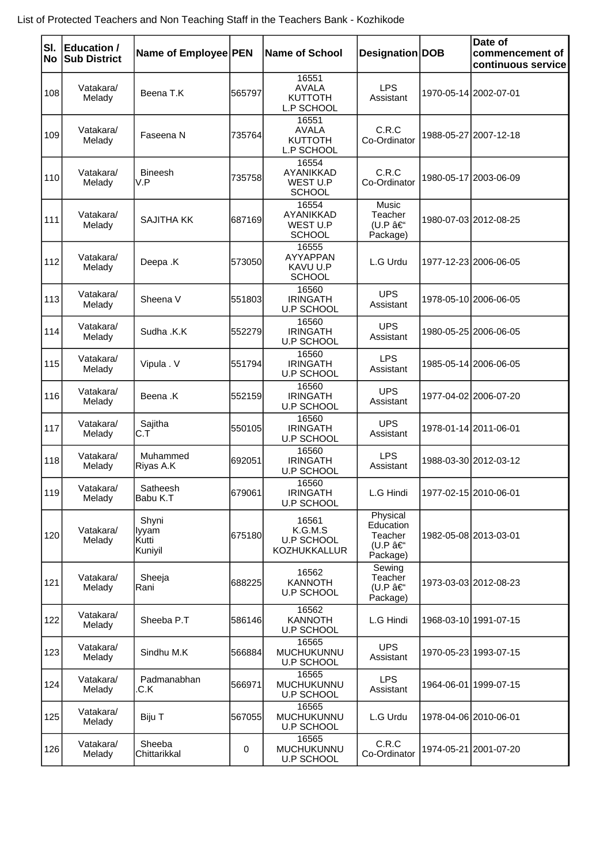| SI.<br>No | <b>Education /</b><br><b>Sub District</b> | Name of Employee PEN               |        | <b>Name of School</b>                                        | Designation DOB                                        | Date of<br>commencement of<br>continuous service |
|-----------|-------------------------------------------|------------------------------------|--------|--------------------------------------------------------------|--------------------------------------------------------|--------------------------------------------------|
| 108       | Vatakara/<br>Melady                       | Beena T.K                          | 565797 | 16551<br>AVALA<br><b>KUTTOTH</b><br>L.P SCHOOL               | <b>LPS</b><br>Assistant                                | 1970-05-14 2002-07-01                            |
| 109       | Vatakara/<br>Melady                       | Faseena N                          | 735764 | 16551<br><b>AVALA</b><br><b>KUTTOTH</b><br>L.P SCHOOL        | C.R.C<br>Co-Ordinator                                  | 1988-05-27 2007-12-18                            |
| 110       | Vatakara/<br>Melady                       | <b>Bineesh</b><br>V.P              | 735758 | 16554<br>AYANIKKAD<br>WEST U.P<br><b>SCHOOL</b>              | C.R.C<br>Co-Ordinator                                  | 1980-05-17 2003-06-09                            |
| 111       | Vatakara/<br>Melady                       | <b>SAJITHA KK</b>                  | 687169 | 16554<br>AYANIKKAD<br>WEST U.P<br><b>SCHOOL</b>              | Music<br>Teacher<br>(U.P –<br>Package)                 | 1980-07-03 2012-08-25                            |
| 112       | Vatakara/<br>Melady                       | Deepa .K                           | 573050 | 16555<br>AYYAPPAN<br>KAVU U.P<br><b>SCHOOL</b>               | L.G Urdu                                               | 1977-12-23 2006-06-05                            |
| 113       | Vatakara/<br>Melady                       | Sheena V                           | 551803 | 16560<br><b>IRINGATH</b><br><b>U.P SCHOOL</b>                | <b>UPS</b><br>Assistant                                | 1978-05-10 2006-06-05                            |
| 114       | Vatakara/<br>Melady                       | Sudha .K.K                         | 552279 | 16560<br><b>IRINGATH</b><br><b>U.P SCHOOL</b>                | <b>UPS</b><br>Assistant                                | 1980-05-25 2006-06-05                            |
| 115       | Vatakara/<br>Melady                       | Vipula . V                         | 551794 | 16560<br><b>IRINGATH</b><br><b>U.P SCHOOL</b>                | <b>LPS</b><br>Assistant                                | 1985-05-14 2006-06-05                            |
| 116       | Vatakara/<br>Melady                       | Beena .K                           | 552159 | 16560<br><b>IRINGATH</b><br><b>U.P SCHOOL</b>                | <b>UPS</b><br>Assistant                                | 1977-04-02 2006-07-20                            |
| 117       | Vatakara/<br>Melady                       | Sajitha<br>C.T                     | 550105 | 16560<br><b>IRINGATH</b><br><b>U.P SCHOOL</b>                | <b>UPS</b><br>Assistant                                | 1978-01-14 2011-06-01                            |
| 118       | Vatakara/<br>Melady                       | Muhammed<br>Riyas A.K              | 692051 | 16560<br><b>IRINGATH</b><br><b>U.P SCHOOL</b>                | <b>LPS</b><br>Assistant                                | 1988-03-30 2012-03-12                            |
| 119       | Vatakara/<br>Melady                       | Satheesh<br>Babu K.T               | 679061 | 16560<br><b>IRINGATH</b><br><b>U.P SCHOOL</b>                | L.G Hindi                                              | 1977-02-15 2010-06-01                            |
| 120       | Vatakara/<br>Melady                       | Shyni<br>lyyam<br>Kutti<br>Kuniyil | 675180 | 16561<br>K.G.M.S<br><b>U.P SCHOOL</b><br><b>KOZHUKKALLUR</b> | Physical<br>Education<br>Teacher<br>(U.P –<br>Package) | 1982-05-08 2013-03-01                            |
| 121       | Vatakara/<br>Melady                       | Sheeja<br>Rani                     | 688225 | 16562<br><b>KANNOTH</b><br><b>U.P SCHOOL</b>                 | Sewing<br>Teacher<br>(U.P –<br>Package)                | 1973-03-03 2012-08-23                            |
| 122       | Vatakara/<br>Melady                       | Sheeba P.T                         | 586146 | 16562<br><b>KANNOTH</b><br><b>U.P SCHOOL</b>                 | L.G Hindi                                              | 1968-03-10 1991-07-15                            |
| 123       | Vatakara/<br>Melady                       | Sindhu M.K                         | 566884 | 16565<br><b>MUCHUKUNNU</b><br><b>U.P SCHOOL</b>              | <b>UPS</b><br>Assistant                                | 1970-05-23 1993-07-15                            |
| 124       | Vatakara/<br>Melady                       | Padmanabhan<br>.C.K                | 566971 | 16565<br><b>MUCHUKUNNU</b><br><b>U.P SCHOOL</b>              | <b>LPS</b><br>Assistant                                | 1964-06-01 1999-07-15                            |
| 125       | Vatakara/<br>Melady                       | Biju T                             | 567055 | 16565<br><b>MUCHUKUNNU</b><br><b>U.P SCHOOL</b>              | L.G Urdu                                               | 1978-04-06 2010-06-01                            |
| 126       | Vatakara/<br>Melady                       | Sheeba<br>Chittarikkal             | 0      | 16565<br><b>MUCHUKUNNU</b><br><b>U.P SCHOOL</b>              | C.R.C<br>Co-Ordinator                                  | 1974-05-21 2001-07-20                            |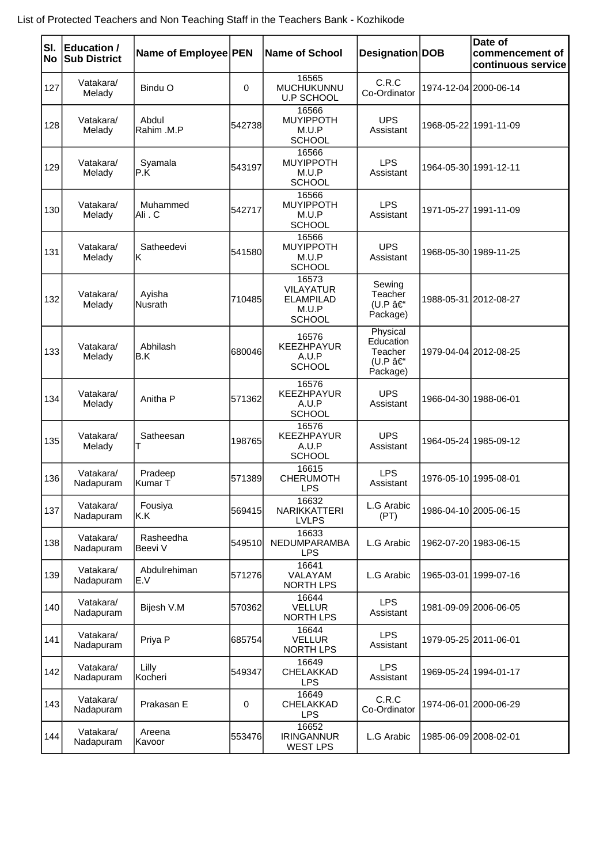| SI.<br>No | <b>Education /</b><br><b>Sub District</b> | Name of Employee PEN     |             | Name of School                                                          | Designation   DOB                                      | Date of<br>commencement of<br>continuous service |
|-----------|-------------------------------------------|--------------------------|-------------|-------------------------------------------------------------------------|--------------------------------------------------------|--------------------------------------------------|
| 127       | Vatakara/<br>Melady                       | Bindu O                  | $\mathbf 0$ | 16565<br><b>MUCHUKUNNU</b><br><b>U.P SCHOOL</b>                         | C.R.C<br>Co-Ordinator                                  | 1974-12-04 2000-06-14                            |
| 128       | Vatakara/<br>Melady                       | Abdul<br>Rahim .M.P      | 542738      | 16566<br><b>MUYIPPOTH</b><br>M.U.P<br><b>SCHOOL</b>                     | <b>UPS</b><br>Assistant                                | 1968-05-22 1991-11-09                            |
| 129       | Vatakara/<br>Melady                       | Syamala<br>IP.K          | 543197      | 16566<br><b>MUYIPPOTH</b><br>M.U.P<br><b>SCHOOL</b>                     | <b>LPS</b><br>Assistant                                | 1964-05-30 1991-12-11                            |
| 130       | Vatakara/<br>Melady                       | Muhammed<br>Ali.C        | 542717      | 16566<br><b>MUYIPPOTH</b><br>M.U.P<br><b>SCHOOL</b>                     | <b>LPS</b><br>Assistant                                | 1971-05-27 1991-11-09                            |
| 131       | Vatakara/<br>Melady                       | Satheedevi<br>ΙK         | 541580      | 16566<br><b>MUYIPPOTH</b><br>M.U.P<br><b>SCHOOL</b>                     | <b>UPS</b><br>Assistant                                | 1968-05-30 1989-11-25                            |
| 132       | Vatakara/<br>Melady                       | Ayisha<br><b>Nusrath</b> | 710485      | 16573<br><b>VILAYATUR</b><br><b>ELAMPILAD</b><br>M.U.P<br><b>SCHOOL</b> | Sewing<br>Teacher<br>(U.P –<br>Package)                | 1988-05-31 2012-08-27                            |
| 133       | Vatakara/<br>Melady                       | Abhilash<br>B.K          | 680046      | 16576<br><b>KEEZHPAYUR</b><br>A.U.P<br><b>SCHOOL</b>                    | Physical<br>Education<br>Teacher<br>(U.P –<br>Package) | 1979-04-04 2012-08-25                            |
| 134       | Vatakara/<br>Melady                       | Anitha P                 | 571362      | 16576<br><b>KEEZHPAYUR</b><br>A.U.P<br><b>SCHOOL</b>                    | <b>UPS</b><br>Assistant                                | 1966-04-30 1988-06-01                            |
| 135       | Vatakara/<br>Melady                       | Satheesan                | 198765      | 16576<br><b>KEEZHPAYUR</b><br>A.U.P<br><b>SCHOOL</b>                    | <b>UPS</b><br>Assistant                                | 1964-05-24 1985-09-12                            |
| 136       | Vatakara/<br>Nadapuram                    | Pradeep<br>Kumar T       | 571389      | 16615<br><b>CHERUMOTH</b><br><b>LPS</b>                                 | LPS<br>Assistant                                       | 1976-05-10 1995-08-01                            |
| 137       | Vatakara/<br>Nadapuram                    | Fousiya<br>K.K           | 569415      | 16632<br>NARIKKATTERI<br><b>LVLPS</b>                                   | L.G Arabic<br>(PT)                                     | 1986-04-10 2005-06-15                            |
| 138       | Vatakara/<br>Nadapuram                    | Rasheedha<br>Beevi V     | 549510      | 16633<br>NEDUMPARAMBA<br><b>LPS</b>                                     | L.G Arabic                                             | 1962-07-20 1983-06-15                            |
| 139       | Vatakara/<br>Nadapuram                    | Abdulrehiman<br>E.V      | 571276      | 16641<br>VALAYAM<br><b>NORTH LPS</b>                                    | L.G Arabic                                             | 1965-03-01   1999-07-16                          |
| 140       | Vatakara/<br>Nadapuram                    | Bijesh V.M               | 570362      | 16644<br><b>VELLUR</b><br><b>NORTH LPS</b>                              | LPS<br>Assistant                                       | 1981-09-09 2006-06-05                            |
| 141       | Vatakara/<br>Nadapuram                    | Priya P                  | 685754      | 16644<br><b>VELLUR</b><br>NORTH LPS                                     | LPS<br>Assistant                                       | 1979-05-25 2011-06-01                            |
| 142       | Vatakara/<br>Nadapuram                    | Lilly<br>Kocheri         | 549347      | 16649<br>CHELAKKAD<br><b>LPS</b>                                        | LPS<br>Assistant                                       | 1969-05-24 1994-01-17                            |
| 143       | Vatakara/<br>Nadapuram                    | Prakasan E               | 0           | 16649<br>CHELAKKAD<br><b>LPS</b>                                        | C.R.C<br>Co-Ordinator                                  | 1974-06-01 2000-06-29                            |
| 144       | Vatakara/<br>Nadapuram                    | Areena<br>Kavoor         | 553476      | 16652<br><b>IRINGANNUR</b><br><b>WEST LPS</b>                           | L.G Arabic                                             | 1985-06-09 2008-02-01                            |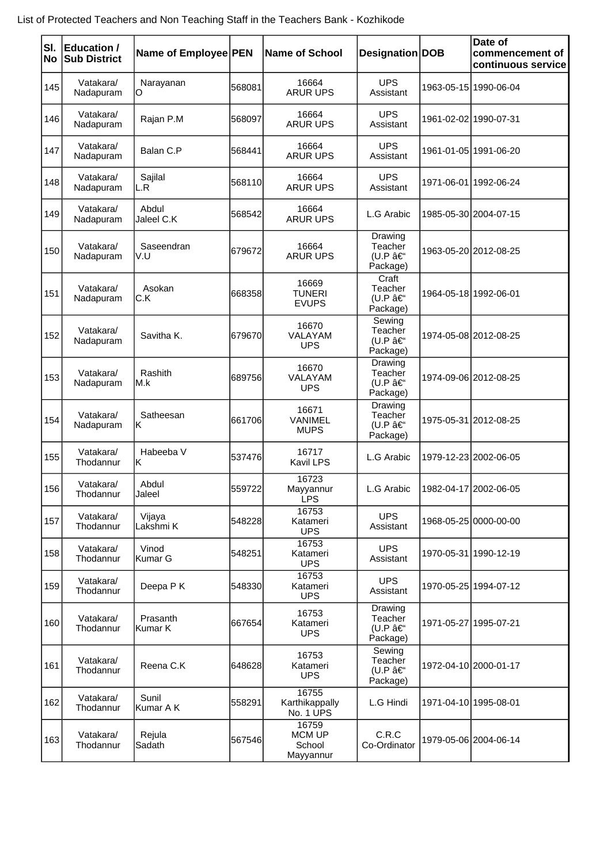| SI.<br>No | Education /<br><b>Sub District</b> | Name of Employee PEN |        | <b>Name of School</b>                         | Designation DOB                          | Date of<br>commencement of<br>continuous service |
|-----------|------------------------------------|----------------------|--------|-----------------------------------------------|------------------------------------------|--------------------------------------------------|
| 145       | Vatakara/<br>Nadapuram             | Narayanan<br>O       | 568081 | 16664<br><b>ARUR UPS</b>                      | <b>UPS</b><br>Assistant                  | 1963-05-15 1990-06-04                            |
| 146       | Vatakara/<br>Nadapuram             | Rajan P.M            | 568097 | 16664<br><b>ARUR UPS</b>                      | <b>UPS</b><br>Assistant                  | 1961-02-02 1990-07-31                            |
| 147       | Vatakara/<br>Nadapuram             | Balan C.P            | 568441 | 16664<br><b>ARUR UPS</b>                      | <b>UPS</b><br>Assistant                  | 1961-01-05 1991-06-20                            |
| 148       | Vatakara/<br>Nadapuram             | Sajilal<br>L.R       | 568110 | 16664<br><b>ARUR UPS</b>                      | <b>UPS</b><br>Assistant                  | 1971-06-01 1992-06-24                            |
| 149       | Vatakara/<br>Nadapuram             | Abdul<br>Jaleel C.K  | 568542 | 16664<br><b>ARUR UPS</b>                      | L.G Arabic                               | 1985-05-30 2004-07-15                            |
| 150       | Vatakara/<br>Nadapuram             | Saseendran<br>V.U    | 679672 | 16664<br><b>ARUR UPS</b>                      | Drawing<br>Teacher<br>(U.P –<br>Package) | 1963-05-20 2012-08-25                            |
| 151       | Vatakara/<br>Nadapuram             | Asokan<br>C.K        | 668358 | 16669<br><b>TUNERI</b><br><b>EVUPS</b>        | Craft<br>Teacher<br>(U.P –<br>Package)   | 1964-05-18 1992-06-01                            |
| 152       | Vatakara/<br>Nadapuram             | Savitha K.           | 679670 | 16670<br>VALAYAM<br><b>UPS</b>                | Sewing<br>Teacher<br>(U.P –<br>Package)  | 1974-05-08 2012-08-25                            |
| 153       | Vatakara/<br>Nadapuram             | Rashith<br>M.k       | 689756 | 16670<br>VALAYAM<br><b>UPS</b>                | Drawing<br>Teacher<br>(U.P –<br>Package) | 1974-09-06 2012-08-25                            |
| 154       | Vatakara/<br>Nadapuram             | Satheesan<br>ΙK      | 661706 | 16671<br><b>VANIMEL</b><br><b>MUPS</b>        | Drawing<br>Teacher<br>(U.P –<br>Package) | 1975-05-31 2012-08-25                            |
| 155       | Vatakara/<br>Thodannur             | Habeeba V<br>ΙK      | 537476 | 16717<br>Kavil LPS                            | L.G Arabic                               | 1979-12-23 2002-06-05                            |
| 156       | Vatakara/<br>Thodannur             | Abdul<br>Jaleel      | 559722 | 16723<br>Mayyannur<br><b>LPS</b>              | L.G Arabic                               | 1982-04-17 2002-06-05                            |
| 157       | Vatakara/<br>Thodannur             | Vijaya<br>Lakshmi K  | 548228 | 16753<br>Katameri<br><b>UPS</b>               | <b>UPS</b><br>Assistant                  | 1968-05-25 0000-00-00                            |
| 158       | Vatakara/<br>Thodannur             | Vinod<br>Kumar G     | 548251 | 16753<br>Katameri<br><b>UPS</b>               | <b>UPS</b><br>Assistant                  | 1970-05-31 1990-12-19                            |
| 159       | Vatakara/<br>Thodannur             | Deepa P K            | 548330 | 16753<br>Katameri<br><b>UPS</b>               | <b>UPS</b><br>Assistant                  | 1970-05-25 1994-07-12                            |
| 160       | Vatakara/<br>Thodannur             | Prasanth<br>lKumar K | 667654 | 16753<br>Katameri<br><b>UPS</b>               | Drawing<br>Teacher<br>(U.P –<br>Package) | 1971-05-27 1995-07-21                            |
| 161       | Vatakara/<br>Thodannur             | Reena C.K            | 648628 | 16753<br>Katameri<br><b>UPS</b>               | Sewing<br>Teacher<br>(U.P –<br>Package)  | 1972-04-10 2000-01-17                            |
| 162       | Vatakara/<br>Thodannur             | Sunil<br>Kumar A K   | 558291 | 16755<br>Karthikappally<br>No. 1 UPS          | L.G Hindi                                | 1971-04-10 1995-08-01                            |
| 163       | Vatakara/<br>Thodannur             | Rejula<br>Sadath     | 567546 | 16759<br><b>MCM UP</b><br>School<br>Mayyannur | C.R.C<br>Co-Ordinator                    | 1979-05-06 2004-06-14                            |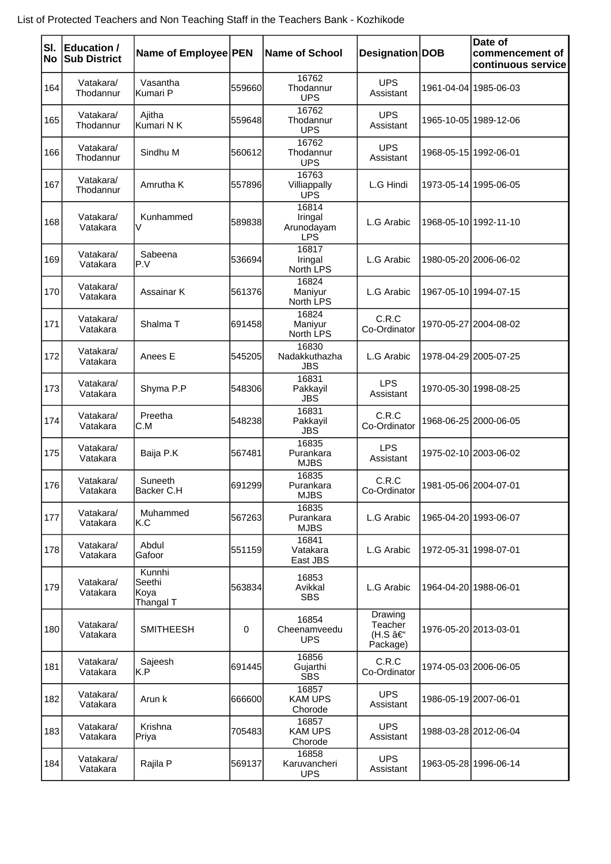| SI.<br>No | <b>Education /</b><br><b>Sub District</b> | Name of Employee PEN                  |        | <b>Name of School</b>                        | Designation DOB                          |                       | Date of<br>commencement of<br>continuous service |
|-----------|-------------------------------------------|---------------------------------------|--------|----------------------------------------------|------------------------------------------|-----------------------|--------------------------------------------------|
| 164       | Vatakara/<br>Thodannur                    | Vasantha<br>Kumari P                  | 559660 | 16762<br>Thodannur<br><b>UPS</b>             | <b>UPS</b><br>Assistant                  |                       | 1961-04-04 1985-06-03                            |
| 165       | Vatakara/<br>Thodannur                    | Ajitha<br>Kumari N K                  | 559648 | 16762<br>Thodannur<br><b>UPS</b>             | <b>UPS</b><br>Assistant                  |                       | 1965-10-05 1989-12-06                            |
| 166       | Vatakara/<br>Thodannur                    | Sindhu M                              | 560612 | 16762<br>Thodannur<br><b>UPS</b>             | <b>UPS</b><br>Assistant                  |                       | 1968-05-15 1992-06-01                            |
| 167       | Vatakara/<br>Thodannur                    | Amrutha K                             | 557896 | 16763<br>Villiappally<br><b>UPS</b>          | L.G Hindi                                |                       | 1973-05-14 1995-06-05                            |
| 168       | Vatakara/<br>Vatakara                     | Kunhammed                             | 589838 | 16814<br>Iringal<br>Arunodayam<br><b>LPS</b> | L.G Arabic                               |                       | 1968-05-10 1992-11-10                            |
| 169       | Vatakara/<br>Vatakara                     | Sabeena<br>P.V                        | 536694 | 16817<br>Iringal<br>North LPS                | L.G Arabic                               |                       | 1980-05-20 2006-06-02                            |
| 170       | Vatakara/<br>Vatakara                     | Assainar K                            | 561376 | 16824<br>Maniyur<br>North LPS                | L.G Arabic                               |                       | 1967-05-10 1994-07-15                            |
| 171       | Vatakara/<br>Vatakara                     | Shalma T                              | 691458 | 16824<br>Maniyur<br>North LPS                | C.R.C<br>Co-Ordinator                    |                       | 1970-05-27 2004-08-02                            |
| 172       | Vatakara/<br>Vatakara                     | Anees E                               | 545205 | 16830<br>Nadakkuthazha<br><b>JBS</b>         | L.G Arabic                               |                       | 1978-04-29 2005-07-25                            |
| 173       | Vatakara/<br>Vatakara                     | Shyma P.P                             | 548306 | 16831<br>Pakkayil<br><b>JBS</b>              | <b>LPS</b><br>Assistant                  |                       | 1970-05-30 1998-08-25                            |
| 174       | Vatakara/<br>Vatakara                     | Preetha<br>C.M                        | 548238 | 16831<br>Pakkayil<br><b>JBS</b>              | C.R.C<br>Co-Ordinator                    |                       | 1968-06-25 2000-06-05                            |
| 175       | Vatakara/<br>Vatakara                     | Baija P.K                             | 567481 | 16835<br>Purankara<br><b>MJBS</b>            | <b>LPS</b><br>Assistant                  |                       | 1975-02-10 2003-06-02                            |
| 176       | Vatakara/<br>Vatakara                     | Suneeth<br>lBacker C.H                | 691299 | 16835<br>Purankara<br><b>MJBS</b>            | C.R.C<br>Co-Ordinator                    | 1981-05-06 2004-07-01 |                                                  |
| 177       | Vatakara/<br>Vatakara                     | Muhammed<br>lK.C                      | 567263 | 16835<br>Purankara<br><b>MJBS</b>            | L.G Arabic                               |                       | 1965-04-20 1993-06-07                            |
| 178       | Vatakara/<br>Vatakara                     | Abdul<br>Gafoor                       | 551159 | 16841<br>Vatakara<br>East JBS                | L.G Arabic                               |                       | 1972-05-31 1998-07-01                            |
| 179       | Vatakara/<br>Vatakara                     | Kunnhi<br>Seethi<br>Koya<br>Thangal T | 563834 | 16853<br>Avikkal<br><b>SBS</b>               | L.G Arabic                               |                       | 1964-04-20 1988-06-01                            |
| 180       | Vatakara/<br>Vatakara                     | <b>SMITHEESH</b>                      | 0      | 16854<br>Cheenamveedu<br><b>UPS</b>          | Drawing<br>Teacher<br>(H.S –<br>Package) |                       | 1976-05-20 2013-03-01                            |
| 181       | Vatakara/<br>Vatakara                     | Sajeesh<br>K.P                        | 691445 | 16856<br>Gujarthi<br><b>SBS</b>              | C.R.C<br>Co-Ordinator                    |                       | 1974-05-03 2006-06-05                            |
| 182       | Vatakara/<br>Vatakara                     | Arun k                                | 666600 | 16857<br><b>KAM UPS</b><br>Chorode           | <b>UPS</b><br>Assistant                  |                       | 1986-05-19 2007-06-01                            |
| 183       | Vatakara/<br>Vatakara                     | Krishna<br>Priya                      | 705483 | 16857<br><b>KAM UPS</b><br>Chorode           | <b>UPS</b><br>Assistant                  |                       | 1988-03-28 2012-06-04                            |
| 184       | Vatakara/<br>Vatakara                     | Rajila P                              | 569137 | 16858<br>Karuvancheri<br><b>UPS</b>          | <b>UPS</b><br>Assistant                  |                       | 1963-05-28 1996-06-14                            |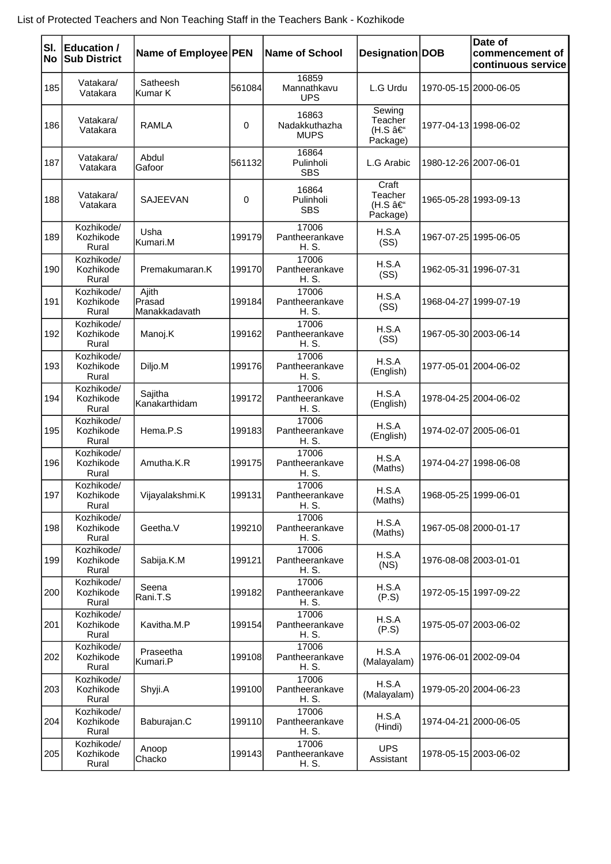| SI.<br>No | <b>Education /</b><br><b>Sub District</b> | Name of Employee PEN             |        | <b>Name of School</b>                 | Designation DOB                         | Date of<br>commencement of<br>continuous service |
|-----------|-------------------------------------------|----------------------------------|--------|---------------------------------------|-----------------------------------------|--------------------------------------------------|
| 185       | Vatakara/<br>Vatakara                     | Satheesh<br>lKumar K             | 561084 | 16859<br>Mannathkavu<br><b>UPS</b>    | L.G Urdu                                | 1970-05-15 2000-06-05                            |
| 186       | Vatakara/<br>Vatakara                     | <b>RAMLA</b>                     | 0      | 16863<br>Nadakkuthazha<br><b>MUPS</b> | Sewing<br>Teacher<br>(H.S –<br>Package) | 1977-04-13 1998-06-02                            |
| 187       | Vatakara/<br>Vatakara                     | Abdul<br>Gafoor                  | 561132 | 16864<br>Pulinholi<br><b>SBS</b>      | L.G Arabic                              | 1980-12-26 2007-06-01                            |
| 188       | Vatakara/<br>Vatakara                     | SAJEEVAN                         | 0      | 16864<br>Pulinholi<br><b>SBS</b>      | Craft<br>Teacher<br>(H.S –<br>Package)  | 1965-05-28 1993-09-13                            |
| 189       | Kozhikode/<br>Kozhikode<br>Rural          | Usha<br>Kumari.M                 | 199179 | 17006<br>Pantheerankave<br>H. S.      | H.S.A<br>(SS)                           | 1967-07-25 1995-06-05                            |
| 190       | Kozhikode/<br>Kozhikode<br>Rural          | Premakumaran.K                   | 199170 | 17006<br>Pantheerankave<br>H. S.      | H.S.A<br>(SS)                           | 1962-05-31 1996-07-31                            |
| 191       | Kozhikode/<br>Kozhikode<br>Rural          | Ajith<br>Prasad<br>Manakkadavath | 199184 | 17006<br>Pantheerankave<br>H. S.      | H.S.A<br>(SS)                           | 1968-04-27 1999-07-19                            |
| 192       | Kozhikode/<br>Kozhikode<br>Rural          | Manoj.K                          | 199162 | 17006<br>Pantheerankave<br>H. S.      | H.S.A<br>(SS)                           | 1967-05-30 2003-06-14                            |
| 193       | Kozhikode/<br>Kozhikode<br>Rural          | Diljo.M                          | 199176 | 17006<br>Pantheerankave<br>H. S.      | H.S.A<br>(English)                      | 1977-05-01 2004-06-02                            |
| 194       | Kozhikode/<br>Kozhikode<br>Rural          | Sajitha<br>Kanakarthidam         | 199172 | 17006<br>Pantheerankave<br>H. S.      | H.S.A<br>(English)                      | 1978-04-25 2004-06-02                            |
| 195       | Kozhikode/<br>Kozhikode<br>Rural          | Hema.P.S                         | 199183 | 17006<br>Pantheerankave<br>H. S.      | H.S.A<br>(English)                      | 1974-02-07 2005-06-01                            |
| 196       | Kozhikode/<br>Kozhikode<br>Rural          | Amutha.K.R                       | 199175 | 17006<br>Pantheerankave<br>H. S.      | H.S.A<br>(Maths)                        | 1974-04-27 1998-06-08                            |
| 197       | Kozhikode/<br>Kozhikode<br>Rural          | Vijayalakshmi.K                  | 199131 | 17006<br>Pantheerankave<br>H. S.      | H.S.A<br>(Maths)                        | 1968-05-25 1999-06-01                            |
| 198       | Kozhikode/<br>Kozhikode<br>Rural          | Geetha.V                         | 199210 | 17006<br>Pantheerankave<br>H. S.      | H.S.A<br>(Maths)                        | 1967-05-08 2000-01-17                            |
| 199       | Kozhikode/<br>Kozhikode<br>Rural          | Sabija.K.M                       | 199121 | 17006<br>Pantheerankave<br>H. S.      | H.S.A<br>(NS)                           | 1976-08-08 2003-01-01                            |
| 200       | Kozhikode/<br>Kozhikode<br>Rural          | Seena<br>Rani.T.S                | 199182 | 17006<br>Pantheerankave<br>H. S.      | H.S.A<br>(P.S)                          | 1972-05-15 1997-09-22                            |
| 201       | Kozhikode/<br>Kozhikode<br>Rural          | Kavitha.M.P                      | 199154 | 17006<br>Pantheerankave<br>H. S.      | H.S.A<br>(P.S)                          | 1975-05-07 2003-06-02                            |
| 202       | Kozhikode/<br>Kozhikode<br>Rural          | Praseetha<br>Kumari.P            | 199108 | 17006<br>Pantheerankave<br>H. S.      | H.S.A<br>(Malayalam)                    | 1976-06-01 2002-09-04                            |
| 203       | Kozhikode/<br>Kozhikode<br>Rural          | Shyji.A                          | 199100 | 17006<br>Pantheerankave<br>H. S.      | H.S.A<br>(Malayalam)                    | 1979-05-20 2004-06-23                            |
| 204       | Kozhikode/<br>Kozhikode<br>Rural          | Baburajan.C                      | 199110 | 17006<br>Pantheerankave<br>H. S.      | H.S.A<br>(Hindi)                        | 1974-04-21 2000-06-05                            |
| 205       | Kozhikode/<br>Kozhikode<br>Rural          | Anoop<br>Chacko                  | 199143 | 17006<br>Pantheerankave<br>H. S.      | <b>UPS</b><br>Assistant                 | 1978-05-15 2003-06-02                            |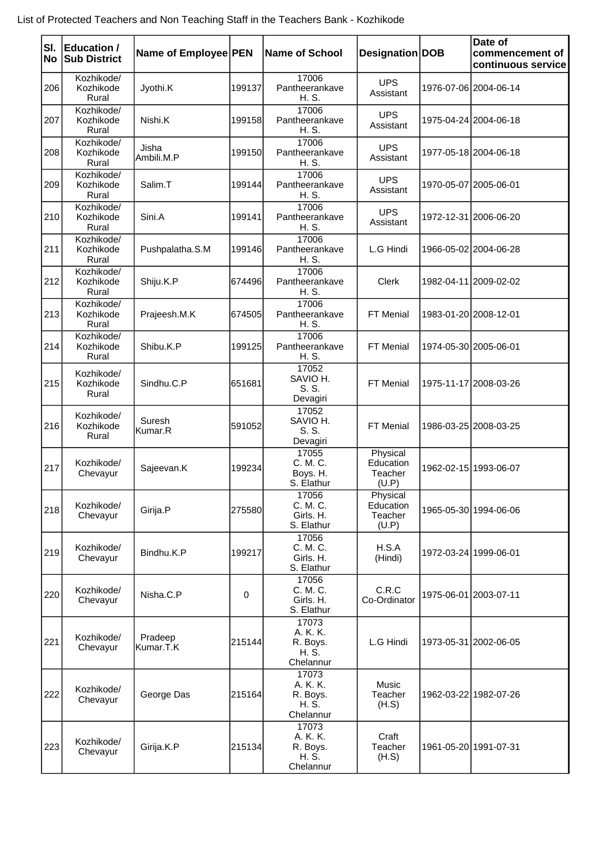| SI.<br>No | <b>Education /</b><br><b>Sub District</b> | Name of Employee PEN |        | Name of School                                      | Designation DOB                           | Date of<br>commencement of<br>continuous service |
|-----------|-------------------------------------------|----------------------|--------|-----------------------------------------------------|-------------------------------------------|--------------------------------------------------|
| 206       | Kozhikode/<br>Kozhikode<br>Rural          | Jyothi.K             | 199137 | 17006<br>Pantheerankave<br>H. S.                    | <b>UPS</b><br>Assistant                   | 1976-07-06 2004-06-14                            |
| 207       | Kozhikode/<br>Kozhikode<br>Rural          | Nishi.K              | 199158 | 17006<br>Pantheerankave<br>H. S.                    | <b>UPS</b><br>Assistant                   | 1975-04-24 2004-06-18                            |
| 208       | Kozhikode/<br>Kozhikode<br>Rural          | Jisha<br>Ambili.M.P  | 199150 | 17006<br>Pantheerankave<br>H. S.                    | <b>UPS</b><br>Assistant                   | 1977-05-18 2004-06-18                            |
| 209       | Kozhikode/<br>Kozhikode<br>Rural          | Salim.T              | 199144 | 17006<br>Pantheerankave<br>H. S.                    | <b>UPS</b><br>Assistant                   | 1970-05-07 2005-06-01                            |
| 210       | Kozhikode/<br>Kozhikode<br>Rural          | Sini.A               | 199141 | 17006<br>Pantheerankave<br>H. S.                    | <b>UPS</b><br>Assistant                   | 1972-12-31 2006-06-20                            |
| 211       | Kozhikode/<br>Kozhikode<br>Rural          | Pushpalatha.S.M      | 199146 | 17006<br>Pantheerankave<br>H. S.                    | L.G Hindi                                 | 1966-05-02 2004-06-28                            |
| 212       | Kozhikode/<br>Kozhikode<br>Rural          | Shiju.K.P            | 674496 | 17006<br>Pantheerankave<br>H. S.                    | Clerk                                     | 1982-04-11 2009-02-02                            |
| 213       | Kozhikode/<br>Kozhikode<br>Rural          | Prajeesh.M.K         | 674505 | 17006<br>Pantheerankave<br>H. S.                    | FT Menial                                 | 1983-01-20 2008-12-01                            |
| 214       | Kozhikode/<br>Kozhikode<br>Rural          | Shibu.K.P            | 199125 | 17006<br>Pantheerankave<br>H. S.                    | FT Menial                                 | 1974-05-30 2005-06-01                            |
| 215       | Kozhikode/<br>Kozhikode<br>Rural          | Sindhu.C.P           | 651681 | 17052<br>SAVIO H.<br>S. S.<br>Devagiri              | FT Menial                                 | 1975-11-17 2008-03-26                            |
| 216       | Kozhikode/<br>Kozhikode<br>Rural          | Suresh<br>Kumar.R    | 591052 | 17052<br>SAVIO H.<br>S. S.<br>Devagiri              | FT Menial                                 | 1986-03-25 2008-03-25                            |
| 217       | Kozhikode/<br>Chevayur                    | Sajeevan.K           | 199234 | 17055<br>C. M. C.<br>Boys. H.<br>S. Elathur         | Physical<br>Education<br>Teacher<br>(U.P) | 1962-02-15 1993-06-07                            |
| 218       | Kozhikode/<br>Chevayur                    | Girija.P             | 275580 | 17056<br>C. M. C.<br>Girls. H.<br>S. Elathur        | Physical<br>Education<br>Teacher<br>(U.P) | 1965-05-30 1994-06-06                            |
| 219       | Kozhikode/<br>Chevayur                    | Bindhu.K.P           | 199217 | 17056<br>C. M. C.<br>Girls, H.<br>S. Elathur        | H.S.A<br>(Hindi)                          | 1972-03-24 1999-06-01                            |
| 220       | Kozhikode/<br>Chevayur                    | Nisha.C.P            | 0      | 17056<br>C. M. C.<br>Girls. H.<br>S. Elathur        | C.R.C<br>Co-Ordinator                     | 1975-06-01 2003-07-11                            |
| 221       | Kozhikode/<br>Chevayur                    | Pradeep<br>Kumar.T.K | 215144 | 17073<br>A. K. K.<br>R. Boys.<br>H. S.<br>Chelannur | L.G Hindi                                 | 1973-05-31 2002-06-05                            |
| 222       | Kozhikode/<br>Chevayur                    | George Das           | 215164 | 17073<br>A. K. K.<br>R. Boys.<br>H. S.<br>Chelannur | <b>Music</b><br>Teacher<br>(H.S)          | 1962-03-22 1982-07-26                            |
| 223       | Kozhikode/<br>Chevayur                    | Girija.K.P           | 215134 | 17073<br>A. K. K.<br>R. Boys.<br>H. S.<br>Chelannur | Craft<br>Teacher<br>(H.S)                 | 1961-05-20 1991-07-31                            |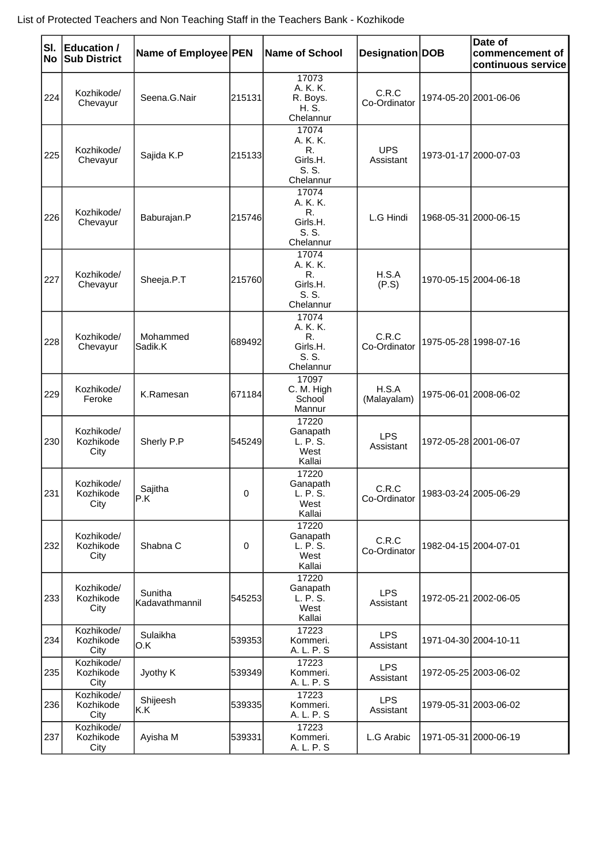| SI.<br><b>No</b> | Education /<br><b>Sub District</b> | Name of Employee PEN      |        | <b>Name of School</b>                                     | Designation   DOB       | Date of<br>commencement of<br>continuous service |
|------------------|------------------------------------|---------------------------|--------|-----------------------------------------------------------|-------------------------|--------------------------------------------------|
| 224              | Kozhikode/<br>Chevayur             | Seena.G.Nair              | 215131 | 17073<br>A. K. K.<br>R. Boys.<br>H. S.<br>Chelannur       | C.R.C<br>Co-Ordinator   | 1974-05-20 2001-06-06                            |
| 225              | Kozhikode/<br>Chevayur             | Sajida K.P                | 215133 | 17074<br>A. K. K.<br>R.<br>Girls.H.<br>S. S.<br>Chelannur | <b>UPS</b><br>Assistant | 1973-01-17 2000-07-03                            |
| 226              | Kozhikode/<br>Chevayur             | Baburajan.P               | 215746 | 17074<br>A. K. K.<br>R.<br>Girls.H.<br>S. S.<br>Chelannur | L.G Hindi               | 1968-05-31 2000-06-15                            |
| 227              | Kozhikode/<br>Chevayur             | Sheeja.P.T                | 215760 | 17074<br>A. K. K.<br>R.<br>Girls.H.<br>S. S.<br>Chelannur | H.S.A<br>(P.S)          | 1970-05-15 2004-06-18                            |
| 228              | Kozhikode/<br>Chevayur             | Mohammed<br>Sadik.K       | 689492 | 17074<br>A. K. K.<br>R.<br>Girls.H.<br>S. S.<br>Chelannur | C.R.C<br>Co-Ordinator   | 1975-05-28 1998-07-16                            |
| 229              | Kozhikode/<br>Feroke               | K.Ramesan                 | 671184 | 17097<br>C. M. High<br>School<br>Mannur                   | H.S.A<br>(Malayalam)    | 1975-06-01 2008-06-02                            |
| 230              | Kozhikode/<br>Kozhikode<br>City    | Sherly P.P                | 545249 | 17220<br>Ganapath<br>L. P. S.<br>West<br>Kallai           | LPS<br>Assistant        | 1972-05-28 2001-06-07                            |
| 231              | Kozhikode/<br>Kozhikode<br>City    | Sajitha<br>P.K            | 0      | 17220<br>Ganapath<br>L. P. S.<br>West<br>Kallai           | C.R.C<br>Co-Ordinator   | 1983-03-24 2005-06-29                            |
| 232              | Kozhikode/<br>Kozhikode<br>City    | Shabna C                  | 0      | 17220<br>Ganapath<br>L. P. S.<br>West<br>Kallai           | C.R.C<br>Co-Ordinator   | 1982-04-15 2004-07-01                            |
| 233              | Kozhikode/<br>Kozhikode<br>City    | Sunitha<br>Kadavathmannil | 545253 | 17220<br>Ganapath<br>L. P. S.<br>West<br>Kallai           | <b>LPS</b><br>Assistant | 1972-05-21 2002-06-05                            |
| 234              | Kozhikode/<br>Kozhikode<br>City    | Sulaikha<br>O.K           | 539353 | 17223<br>Kommeri.<br>A. L. P. S                           | <b>LPS</b><br>Assistant | 1971-04-30 2004-10-11                            |
| 235              | Kozhikode/<br>Kozhikode<br>City    | Jyothy K                  | 539349 | 17223<br>Kommeri.<br>A. L. P. S                           | <b>LPS</b><br>Assistant | 1972-05-25 2003-06-02                            |
| 236              | Kozhikode/<br>Kozhikode<br>City    | Shijeesh<br>K.K           | 539335 | 17223<br>Kommeri.<br>A. L. P. S                           | <b>LPS</b><br>Assistant | 1979-05-31 2003-06-02                            |
| 237              | Kozhikode/<br>Kozhikode<br>City    | Ayisha M                  | 539331 | 17223<br>Kommeri.<br>A. L. P. S                           | L.G Arabic              | 1971-05-31 2000-06-19                            |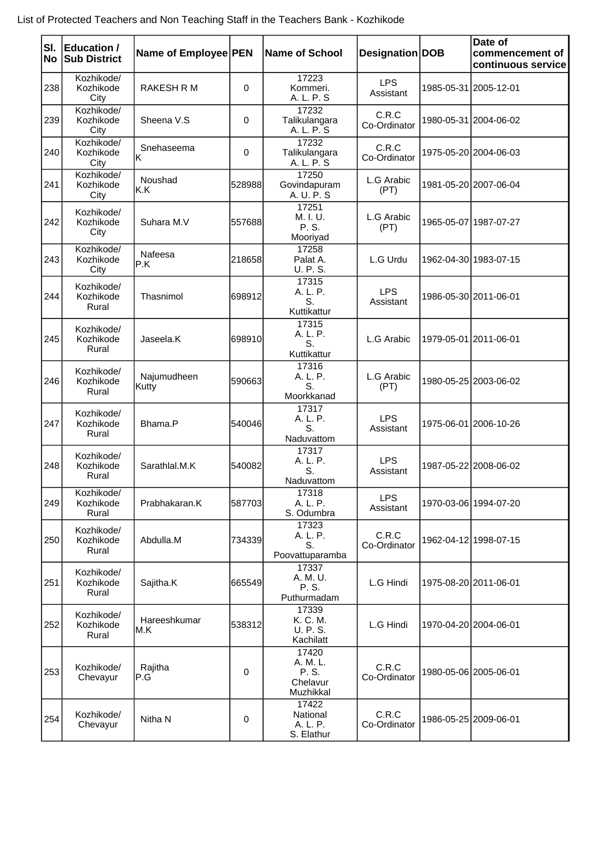|  | List of Protected Teachers and Non Teaching Staff in the Teachers Bank - Kozhikode |
|--|------------------------------------------------------------------------------------|
|--|------------------------------------------------------------------------------------|

| SI.<br><b>No</b> | Education /<br><b>Sub District</b> | Name of Employee PEN |         | <b>Name of School</b>                               | Designation   DOB       | Date of<br>commencement of<br>continuous service |
|------------------|------------------------------------|----------------------|---------|-----------------------------------------------------|-------------------------|--------------------------------------------------|
| 238              | Kozhikode/<br>Kozhikode<br>City    | RAKESH R M           | 0       | 17223<br>Kommeri.<br>A. L. P. S                     | <b>LPS</b><br>Assistant | 1985-05-31 2005-12-01                            |
| 239              | Kozhikode/<br>Kozhikode<br>City    | Sheena V.S           | 0       | 17232<br>Talikulangara<br>A. L. P. S                | C.R.C<br>Co-Ordinator   | 1980-05-31 2004-06-02                            |
| 240              | Kozhikode/<br>Kozhikode<br>City    | Snehaseema<br>ΙK     | 0       | 17232<br>Talikulangara<br>A. L. P. S                | C.R.C<br>Co-Ordinator   | 1975-05-20 2004-06-03                            |
| 241              | Kozhikode/<br>Kozhikode<br>City    | Noushad<br>K.K       | 528988  | 17250<br>Govindapuram<br>A. U. P. S                 | L.G Arabic<br>(PT)      | 1981-05-20 2007-06-04                            |
| 242              | Kozhikode/<br>Kozhikode<br>City    | Suhara M.V           | 557688  | 17251<br>M. I. U.<br>P. S.<br>Mooriyad              | L.G Arabic<br>(PT)      | 1965-05-07 1987-07-27                            |
| 243              | Kozhikode/<br>Kozhikode<br>City    | Nafeesa<br>P.K       | 218658  | 17258<br>Palat A.<br>U. P. S.                       | L.G Urdu                | 1962-04-30 1983-07-15                            |
| 244              | Kozhikode/<br>Kozhikode<br>Rural   | Thasnimol            | 1698912 | 17315<br>A. L. P.<br>S.<br>Kuttikattur              | <b>LPS</b><br>Assistant | 1986-05-30 2011-06-01                            |
| 245              | Kozhikode/<br>Kozhikode<br>Rural   | Jaseela.K            | 698910  | 17315<br>A. L. P.<br>S.<br>Kuttikattur              | L.G Arabic              | 1979-05-01 2011-06-01                            |
| 246              | Kozhikode/<br>Kozhikode<br>Rural   | Najumudheen<br>Kutty | 590663  | 17316<br>A. L. P.<br>S.<br>Moorkkanad               | L.G Arabic<br>(PT)      | 1980-05-25 2003-06-02                            |
| 247              | Kozhikode/<br>Kozhikode<br>Rural   | Bhama.P              | 540046  | 17317<br>A. L. P.<br>S.<br>Naduvattom               | <b>LPS</b><br>Assistant | 1975-06-01 2006-10-26                            |
| 248              | Kozhikode/<br>Kozhikode<br>Rural   | Sarathlal, M.K       | 540082  | 17317<br>A. L. P.<br>S.<br>Naduvattom               | <b>LPS</b><br>Assistant | 1987-05-22 2008-06-02                            |
| 249              | Kozhikode/<br>Kozhikode<br>Rural   | Prabhakaran.K        | 587703  | 17318<br>A. L. P.<br>S. Odumbra                     | <b>LPS</b><br>Assistant | 1970-03-06 1994-07-20                            |
| 250              | Kozhikode/<br>Kozhikode<br>Rural   | Abdulla.M            | 734339  | 17323<br>A. L. P.<br>S.<br>Poovattuparamba          | C.R.C<br>Co-Ordinator   | 1962-04-12 1998-07-15                            |
| 251              | Kozhikode/<br>Kozhikode<br>Rural   | Sajitha.K            | 665549  | 17337<br>A. M. U.<br>P. S.<br>Puthurmadam           | L.G Hindi               | 1975-08-20 2011-06-01                            |
| 252              | Kozhikode/<br>Kozhikode<br>Rural   | Hareeshkumar<br>M.K  | 538312  | 17339<br>K. C. M.<br>U. P. S.<br>Kachilatt          | L.G Hindi               | 1970-04-20 2004-06-01                            |
| 253              | Kozhikode/<br>Chevayur             | Rajitha<br>P.G       | 0       | 17420<br>A. M. L.<br>P. S.<br>Chelavur<br>Muzhikkal | C.R.C<br>Co-Ordinator   | 1980-05-06 2005-06-01                            |
| 254              | Kozhikode/<br>Chevayur             | Nitha N              | 0       | 17422<br>National<br>A. L. P.<br>S. Elathur         | C.R.C<br>Co-Ordinator   | 1986-05-25 2009-06-01                            |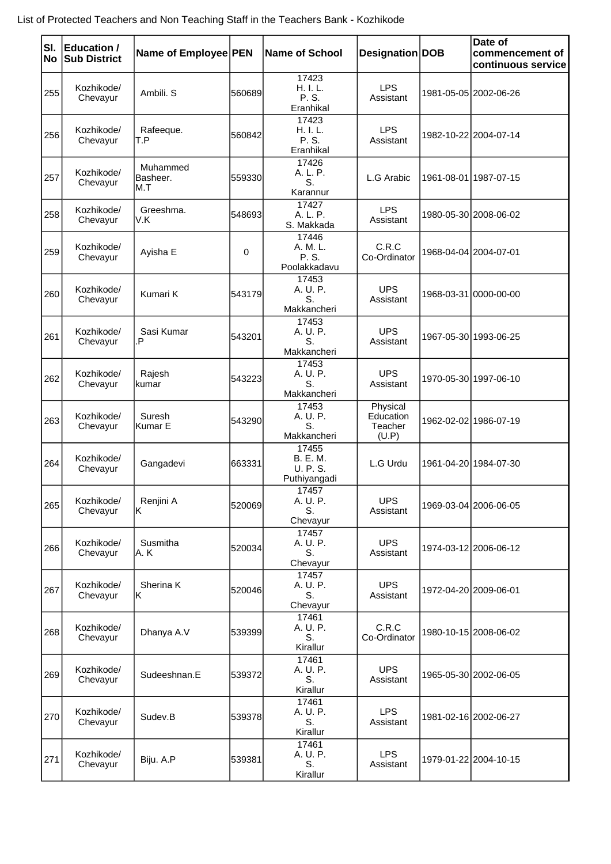| SI.<br>No | <b>Education /</b><br><b>Sub District</b> | Name of Employee PEN        |        | <b>Name of School</b>                         | Designation   DOB                         | Date of<br>commencement of<br>continuous service |
|-----------|-------------------------------------------|-----------------------------|--------|-----------------------------------------------|-------------------------------------------|--------------------------------------------------|
| 255       | Kozhikode/<br>Chevayur                    | Ambili. S                   | 560689 | 17423<br>H. I. L.<br>P. S.<br>Eranhikal       | LPS<br>Assistant                          | 1981-05-05 2002-06-26                            |
| 256       | Kozhikode/<br>Chevayur                    | Rafeeque.<br>T.P            | 560842 | 17423<br>H. I. L.<br>P. S.<br>Eranhikal       | <b>LPS</b><br>Assistant                   | 1982-10-22 2004-07-14                            |
| 257       | Kozhikode/<br>Chevayur                    | Muhammed<br>Basheer.<br>M.T | 559330 | 17426<br>A. L. P.<br>S.<br>Karannur           | L.G Arabic                                | 1961-08-01 1987-07-15                            |
| 258       | Kozhikode/<br>Chevayur                    | Greeshma.<br>V.K            | 548693 | 17427<br>A. L. P.<br>S. Makkada               | <b>LPS</b><br>Assistant                   | 1980-05-30 2008-06-02                            |
| 259       | Kozhikode/<br>Chevayur                    | Ayisha E                    | 0      | 17446<br>A. M. L.<br>P. S.<br>Poolakkadavu    | C.R.C<br>Co-Ordinator                     | 1968-04-04 2004-07-01                            |
| 260       | Kozhikode/<br>Chevayur                    | Kumari K                    | 543179 | 17453<br>A. U. P.<br>S.<br>Makkancheri        | <b>UPS</b><br>Assistant                   | 1968-03-31 0000-00-00                            |
| 261       | Kozhikode/<br>Chevayur                    | Sasi Kumar<br>P             | 543201 | 17453<br>A. U. P.<br>S.<br>Makkancheri        | <b>UPS</b><br>Assistant                   | 1967-05-30 1993-06-25                            |
| 262       | Kozhikode/<br>Chevayur                    | Rajesh<br>lkumar            | 543223 | 17453<br>A. U. P.<br>S.<br>Makkancheri        | <b>UPS</b><br>Assistant                   | 1970-05-30 1997-06-10                            |
| 263       | Kozhikode/<br>Chevayur                    | Suresh<br>Kumar E           | 543290 | 17453<br>A. U. P.<br>S.<br>Makkancheri        | Physical<br>Education<br>Teacher<br>(U.P) | 1962-02-02 1986-07-19                            |
| 264       | Kozhikode/<br>Chevayur                    | Gangadevi                   | 663331 | 17455<br>B. E. M.<br>U. P. S.<br>Puthiyangadi | L.G Urdu                                  | 1961-04-20 1984-07-30                            |
| 265       | Kozhikode/<br>Chevayur                    | Renjini A<br>Κ              | 520069 | 17457<br>A. U. P.<br>S.<br>Chevayur           | <b>UPS</b><br>Assistant                   | 1969-03-04 2006-06-05                            |
| 266       | Kozhikode/<br>Chevayur                    | Susmitha<br>A. K            | 520034 | 17457<br>A. U. P.<br>S.<br>Chevayur           | <b>UPS</b><br>Assistant                   | 1974-03-12 2006-06-12                            |
| 267       | Kozhikode/<br>Chevayur                    | Sherina K<br>ΙK             | 520046 | 17457<br>A. U. P.<br>S.<br>Chevayur           | <b>UPS</b><br>Assistant                   | 1972-04-20 2009-06-01                            |
| 268       | Kozhikode/<br>Chevayur                    | Dhanya A.V                  | 539399 | 17461<br>A. U. P.<br>S.<br>Kirallur           | C.R.C<br>Co-Ordinator                     | 1980-10-15 2008-06-02                            |
| 269       | Kozhikode/<br>Chevayur                    | Sudeeshnan.E                | 539372 | 17461<br>A. U. P.<br>S.<br>Kirallur           | <b>UPS</b><br>Assistant                   | 1965-05-30 2002-06-05                            |
| 270       | Kozhikode/<br>Chevayur                    | Sudev.B                     | 539378 | 17461<br>A. U. P.<br>S.<br>Kirallur           | <b>LPS</b><br>Assistant                   | 1981-02-16 2002-06-27                            |
| 271       | Kozhikode/<br>Chevayur                    | Biju. A.P                   | 539381 | 17461<br>A. U. P.<br>S.<br>Kirallur           | <b>LPS</b><br>Assistant                   | 1979-01-22 2004-10-15                            |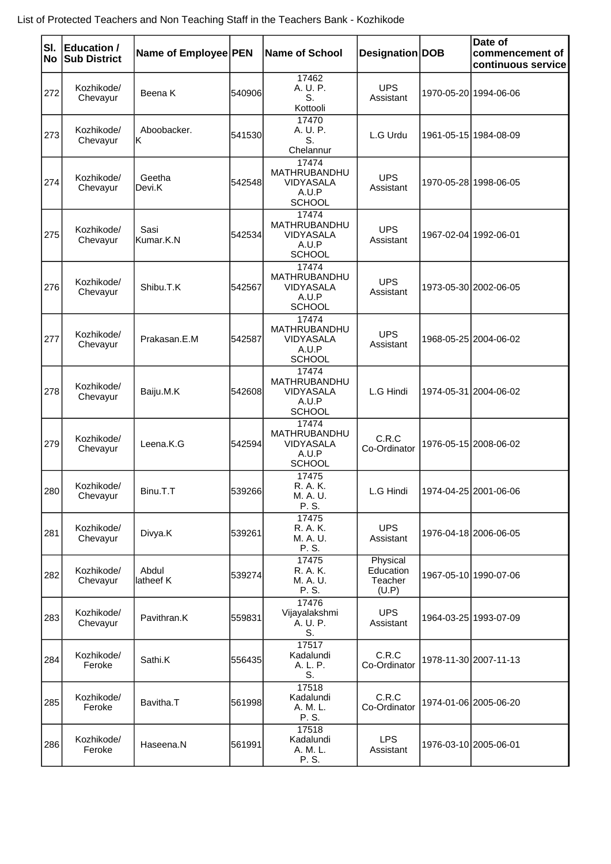| SI.<br>No | Education /<br><b>Sub District</b> | Name of Employee PEN          |        | <b>Name of School</b>                                               | Designation   DOB                         |                       | Date of<br>commencement of<br>continuous service |
|-----------|------------------------------------|-------------------------------|--------|---------------------------------------------------------------------|-------------------------------------------|-----------------------|--------------------------------------------------|
| 272       | Kozhikode/<br>Chevayur             | Beena K                       | 540906 | 17462<br>A. U. P.<br>S.<br>Kottooli                                 | <b>UPS</b><br>Assistant                   |                       | 1970-05-20 1994-06-06                            |
| 273       | Kozhikode/<br>Chevayur             | Aboobacker.<br>κ              | 541530 | 17470<br>A. U. P.<br>S.<br>Chelannur                                | L.G Urdu                                  |                       | 1961-05-15 1984-08-09                            |
| 274       | Kozhikode/<br>Chevayur             | Geetha<br>Devi.K              | 542548 | 17474<br>MATHRUBANDHU<br><b>VIDYASALA</b><br>A.U.P<br><b>SCHOOL</b> | <b>UPS</b><br>Assistant                   |                       | 1970-05-28 1998-06-05                            |
| 275       | Kozhikode/<br>Chevayur             | Sasi<br>Kumar <sub>.K.N</sub> | 542534 | 17474<br>MATHRUBANDHU<br>VIDYASALA<br>A.U.P<br><b>SCHOOL</b>        | <b>UPS</b><br>Assistant                   | 1967-02-04 1992-06-01 |                                                  |
| 276       | Kozhikode/<br>Chevayur             | Shibu.T.K                     | 542567 | 17474<br>MATHRUBANDHU<br>VIDYASALA<br>A.U.P<br><b>SCHOOL</b>        | <b>UPS</b><br>Assistant                   |                       | 1973-05-30 2002-06-05                            |
| 277       | Kozhikode/<br>Chevayur             | Prakasan.E.M                  | 542587 | 17474<br>MATHRUBANDHU<br>VIDYASALA<br>A.U.P<br><b>SCHOOL</b>        | <b>UPS</b><br>Assistant                   |                       | 1968-05-25 2004-06-02                            |
| 278       | Kozhikode/<br>Chevayur             | Baiju.M.K                     | 542608 | 17474<br>MATHRUBANDHU<br>VIDYASALA<br>A.U.P<br><b>SCHOOL</b>        | L.G Hindi                                 |                       | 1974-05-31 2004-06-02                            |
| 279       | Kozhikode/<br>Chevayur             | Leena.K.G                     | 542594 | 17474<br><b>MATHRUBANDHU</b><br>VIDYASALA<br>A.U.P<br><b>SCHOOL</b> | C.R.C<br>Co-Ordinator                     |                       | 1976-05-15 2008-06-02                            |
| 280       | Kozhikode/<br>Chevayur             | Binu.T.T                      | 539266 | 17475<br>R. A. K.<br>M. A. U.<br>P. S.                              | L.G Hindi                                 |                       | 1974-04-25 2001-06-06                            |
| 281       | Kozhikode/<br>Chevayur             | Divya.K                       | 539261 | 17475<br>R. A. K.<br>M. A. U.<br>P. S.                              | <b>UPS</b><br>Assistant                   |                       | 1976-04-18 2006-06-05                            |
| 282       | Kozhikode/<br>Chevayur             | Abdul<br>latheef K            | 539274 | 17475<br>R. A. K.<br>M. A. U.<br>P. S.                              | Physical<br>Education<br>Teacher<br>(U.P) |                       | 1967-05-10 1990-07-06                            |
| 283       | Kozhikode/<br>Chevayur             | Pavithran.K                   | 559831 | 17476<br>Vijayalakshmi<br>A. U. P.<br>S.                            | <b>UPS</b><br>Assistant                   |                       | 1964-03-25 1993-07-09                            |
| 284       | Kozhikode/<br>Feroke               | Sathi.K                       | 556435 | 17517<br>Kadalundi<br>A. L. P.<br>S.                                | C.R.C<br>Co-Ordinator                     |                       | 1978-11-30 2007-11-13                            |
| 285       | Kozhikode/<br>Feroke               | Bavitha.T                     | 561998 | 17518<br>Kadalundi<br>A. M. L.<br>P. S.                             | C.R.C<br>Co-Ordinator                     |                       | 1974-01-06 2005-06-20                            |
| 286       | Kozhikode/<br>Feroke               | Haseena.N                     | 561991 | 17518<br>Kadalundi<br>A. M. L.<br>P. S.                             | <b>LPS</b><br>Assistant                   |                       | 1976-03-10 2005-06-01                            |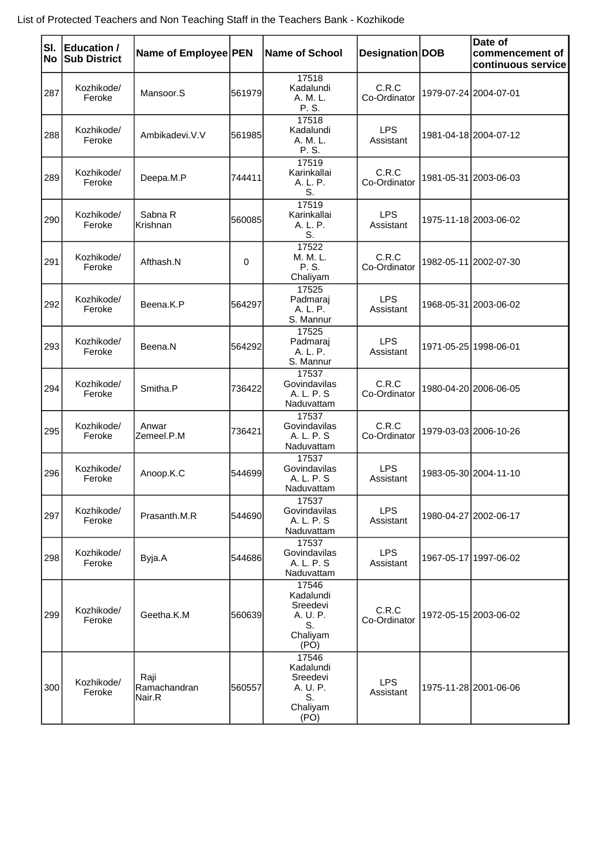| SI. | <b>Education /</b><br><b>No Sub District</b> | Name of Employee PEN           |        | <b>Name of School</b>                                                | Designation   DOB       | Date of<br>commencement of<br>continuous service |
|-----|----------------------------------------------|--------------------------------|--------|----------------------------------------------------------------------|-------------------------|--------------------------------------------------|
| 287 | Kozhikode/<br>Feroke                         | Mansoor.S                      | 561979 | 17518<br>Kadalundi<br>A. M. L.<br>P. S.                              | C.R.C<br>Co-Ordinator   | 1979-07-24 2004-07-01                            |
| 288 | Kozhikode/<br>Feroke                         | Ambikadevi.V.V                 | 561985 | 17518<br>Kadalundi<br>A. M. L.<br>P. S.                              | <b>LPS</b><br>Assistant | 1981-04-18 2004-07-12                            |
| 289 | Kozhikode/<br>Feroke                         | Deepa.M.P                      | 744411 | 17519<br>Karinkallai<br>A. L. P.<br>S.                               | C.R.C<br>Co-Ordinator   | 1981-05-31 2003-06-03                            |
| 290 | Kozhikode/<br>Feroke                         | Sabna R<br><b>Krishnan</b>     | 560085 | 17519<br>Karinkallai<br>A. L. P.<br>S.                               | <b>LPS</b><br>Assistant | 1975-11-18 2003-06-02                            |
| 291 | Kozhikode/<br>Feroke                         | Afthash.N                      | 0      | 17522<br>M. M. L.<br>P. S.<br>Chaliyam                               | C.R.C<br>Co-Ordinator   | 1982-05-11 2002-07-30                            |
| 292 | Kozhikode/<br>Feroke                         | Beena.K.P                      | 564297 | 17525<br>Padmaraj<br>A. L. P.<br>S. Mannur                           | <b>LPS</b><br>Assistant | 1968-05-31 2003-06-02                            |
| 293 | Kozhikode/<br>Feroke                         | Beena.N                        | 564292 | 17525<br>Padmaraj<br>A. L. P.<br>S. Mannur                           | <b>LPS</b><br>Assistant | 1971-05-25 1998-06-01                            |
| 294 | Kozhikode/<br>Feroke                         | Smitha.P                       | 736422 | 17537<br>Govindavilas<br>A. L. P. S<br>Naduvattam                    | C.R.C<br>Co-Ordinator   | 1980-04-20 2006-06-05                            |
| 295 | Kozhikode/<br>Feroke                         | Anwar<br>Zemeel.P.M            | 736421 | 17537<br>Govindavilas<br>A. L. P. S<br>Naduvattam                    | C.R.C<br>Co-Ordinator   | 1979-03-03 2006-10-26                            |
| 296 | Kozhikode/<br>Feroke                         | Anoop.K.C                      | 544699 | 17537<br>Govindavilas<br>A. L. P. S.<br>Naduvattam                   | <b>LPS</b><br>Assistant | 1983-05-30 2004-11-10                            |
| 297 | Kozhikode/<br>Feroke                         | Prasanth.M.R                   | 544690 | 17537<br>Govindavilas<br>A. L. P. S<br>Naduvattam                    | <b>LPS</b><br>Assistant | 1980-04-27 2002-06-17                            |
| 298 | Kozhikode/<br>Feroke                         | Byja.A                         | 544686 | 17537<br>Govindavilas<br>A. L. P. S<br>Naduvattam                    | <b>LPS</b><br>Assistant | 1967-05-17 1997-06-02                            |
| 299 | Kozhikode/<br>Feroke                         | Geetha.K.M                     | 560639 | 17546<br>Kadalundi<br>Sreedevi<br>A. U. P.<br>S.<br>Chaliyam<br>(PO) | C.R.C<br>Co-Ordinator   | 1972-05-15 2003-06-02                            |
| 300 | Kozhikode/<br>Feroke                         | Raji<br>Ramachandran<br>Nair.R | 560557 | 17546<br>Kadalundi<br>Sreedevi<br>A. U. P.<br>S.<br>Chaliyam<br>(PO) | <b>LPS</b><br>Assistant | 1975-11-28 2001-06-06                            |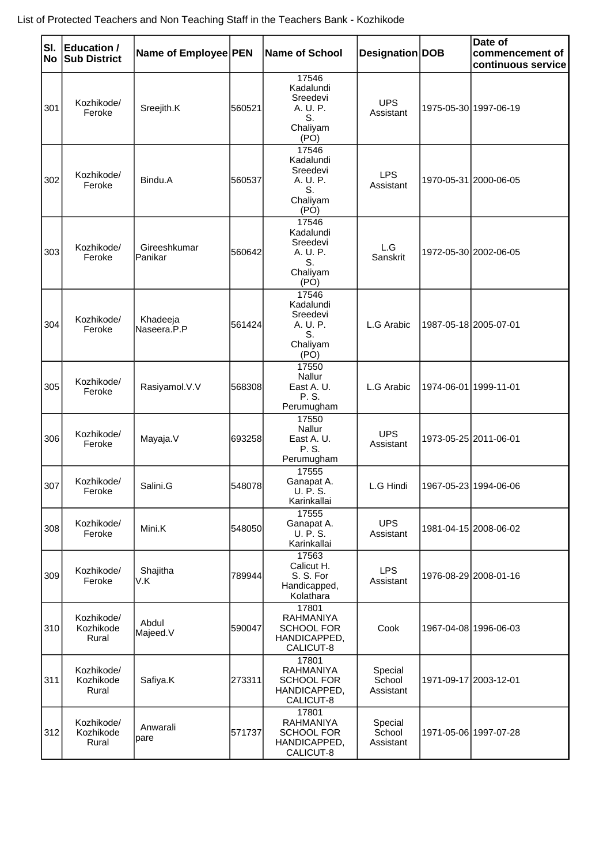| SI.<br><b>No</b> | Education /<br><b>Sub District</b> | Name of Employee PEN     |        | <b>Name of School</b>                                                | Designation DOB                | Date of<br>commencement of<br>continuous service |
|------------------|------------------------------------|--------------------------|--------|----------------------------------------------------------------------|--------------------------------|--------------------------------------------------|
| 301              | Kozhikode/<br>Feroke               | Sreejith.K               | 560521 | 17546<br>Kadalundi<br>Sreedevi<br>A. U. P.<br>S.<br>Chaliyam<br>(PO) | <b>UPS</b><br>Assistant        | 1975-05-30 1997-06-19                            |
| 302              | Kozhikode/<br>Feroke               | Bindu.A                  | 560537 | 17546<br>Kadalundi<br>Sreedevi<br>A. U. P.<br>S.<br>Chaliyam<br>(PO) | LPS<br>Assistant               | 1970-05-31 2000-06-05                            |
| 303              | Kozhikode/<br>Feroke               | Gireeshkumar<br>lPanikar | 560642 | 17546<br>Kadalundi<br>Sreedevi<br>A. U. P.<br>S.<br>Chaliyam<br>(PO) | L.G<br>Sanskrit                | 1972-05-30 2002-06-05                            |
| 304              | Kozhikode/<br>Feroke               | Khadeeja<br>Naseera.P.P  | 561424 | 17546<br>Kadalundi<br>Sreedevi<br>A. U. P.<br>S.<br>Chaliyam<br>(PO) | L.G Arabic                     | 1987-05-18 2005-07-01                            |
| 305              | Kozhikode/<br>Feroke               | Rasiyamol.V.V            | 568308 | 17550<br>Nallur<br>East A. U.<br>P. S.<br>Perumugham                 | L.G Arabic                     | 1974-06-01 1999-11-01                            |
| 306              | Kozhikode/<br>Feroke               | Mayaja.V                 | 693258 | 17550<br>Nallur<br>East A. U.<br>P. S.<br>Perumugham                 | <b>UPS</b><br>Assistant        | 1973-05-25 2011-06-01                            |
| 307              | Kozhikode/<br>Feroke               | Salini.G                 | 548078 | 17555<br>Ganapat A.<br>U. P. S.<br>Karinkallai                       | L.G Hindi                      | 1967-05-23 1994-06-06                            |
| 308              | Kozhikode/<br>Feroke               | Mini.K                   | 548050 | 17555<br>Ganapat A.<br>U. P. S.<br>Karinkallai                       | <b>UPS</b><br>Assistant        | 1981-04-15 2008-06-02                            |
| 309              | Kozhikode/<br>Feroke               | Shajitha<br>V.K          | 789944 | 17563<br>Calicut H.<br>S. S. For<br>Handicapped,<br>Kolathara        | <b>LPS</b><br>Assistant        | 1976-08-29 2008-01-16                            |
| 310              | Kozhikode/<br>Kozhikode<br>Rural   | Abdul<br>Majeed.V        | 590047 | 17801<br>RAHMANIYA<br><b>SCHOOL FOR</b><br>HANDICAPPED,<br>CALICUT-8 | Cook                           | 1967-04-08 1996-06-03                            |
| 311              | Kozhikode/<br>Kozhikode<br>Rural   | Safiya.K                 | 273311 | 17801<br>RAHMANIYA<br><b>SCHOOL FOR</b><br>HANDICAPPED,<br>CALICUT-8 | Special<br>School<br>Assistant | 1971-09-17 2003-12-01                            |
| 312              | Kozhikode/<br>Kozhikode<br>Rural   | Anwarali<br>pare         | 571737 | 17801<br>RAHMANIYA<br><b>SCHOOL FOR</b><br>HANDICAPPED,<br>CALICUT-8 | Special<br>School<br>Assistant | 1971-05-06 1997-07-28                            |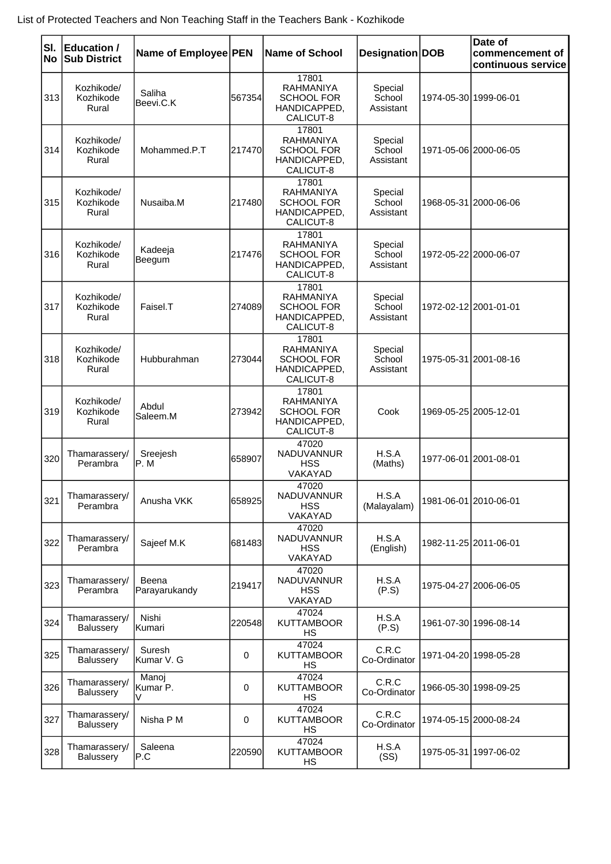| SI.<br>No | <b>Education /</b><br><b>Sub District</b> | Name of Employee PEN   |             | <b>Name of School</b>                                                       | Designation DOB                |                       | Date of<br>commencement of<br>continuous service |
|-----------|-------------------------------------------|------------------------|-------------|-----------------------------------------------------------------------------|--------------------------------|-----------------------|--------------------------------------------------|
| 313       | Kozhikode/<br>Kozhikode<br>Rural          | Saliha<br>lBeevi.C.K   | 567354      | 17801<br><b>RAHMANIYA</b><br><b>SCHOOL FOR</b><br>HANDICAPPED,<br>CALICUT-8 | Special<br>School<br>Assistant | 1974-05-30 1999-06-01 |                                                  |
| 314       | Kozhikode/<br>Kozhikode<br>Rural          | Mohammed.P.T           | 217470      | 17801<br>RAHMANIYA<br><b>SCHOOL FOR</b><br>HANDICAPPED,<br>CALICUT-8        | Special<br>School<br>Assistant |                       | 1971-05-06 2000-06-05                            |
| 315       | Kozhikode/<br>Kozhikode<br>Rural          | Nusaiba.M              | 217480      | 17801<br>RAHMANIYA<br><b>SCHOOL FOR</b><br>HANDICAPPED,<br>CALICUT-8        | Special<br>School<br>Assistant |                       | 1968-05-31 2000-06-06                            |
| 316       | Kozhikode/<br>Kozhikode<br>Rural          | Kadeeja<br>Beegum      | 217476      | 17801<br>RAHMANIYA<br><b>SCHOOL FOR</b><br>HANDICAPPED,<br>CALICUT-8        | Special<br>School<br>Assistant |                       | 1972-05-22 2000-06-07                            |
| 317       | Kozhikode/<br>Kozhikode<br>Rural          | Faisel.T               | 274089      | 17801<br>RAHMANIYA<br><b>SCHOOL FOR</b><br>HANDICAPPED.<br>CALICUT-8        | Special<br>School<br>Assistant | 1972-02-12 2001-01-01 |                                                  |
| 318       | Kozhikode/<br>Kozhikode<br>Rural          | Hubburahman            | 273044      | 17801<br>RAHMANIYA<br><b>SCHOOL FOR</b><br>HANDICAPPED,<br>CALICUT-8        | Special<br>School<br>Assistant |                       | 1975-05-31 2001-08-16                            |
| 319       | Kozhikode/<br>Kozhikode<br>Rural          | Abdul<br>Saleem.M      | 273942      | 17801<br>RAHMANIYA<br><b>SCHOOL FOR</b><br>HANDICAPPED,<br>CALICUT-8        | Cook                           | 1969-05-25 2005-12-01 |                                                  |
| 320       | Thamarassery/<br>Perambra                 | Sreejesh<br>P.M        | 658907      | 47020<br>NADUVANNUR<br><b>HSS</b><br>VAKAYAD                                | H.S.A<br>(Maths)               | 1977-06-01 2001-08-01 |                                                  |
| 321       | Thamarassery/<br>Perambra                 | Anusha VKK             | 658925      | 47020<br><b>NADUVANNUR</b><br><b>HSS</b><br>VAKAYAD                         | H.S.A<br>(Malayalam)           |                       | 1981-06-01 2010-06-01                            |
| 322       | Thamarassery/<br>Perambra                 | Sajeef M.K             | 681483      | 47020<br>NADUVANNUR<br><b>HSS</b><br>VAKAYAD                                | H.S.A<br>(English)             |                       | 1982-11-25 2011-06-01                            |
| 323       | Thamarassery/<br>Perambra                 | Beena<br>Parayarukandy | 219417      | 47020<br><b>NADUVANNUR</b><br><b>HSS</b><br>VAKAYAD                         | H.S.A<br>(P.S)                 |                       | 1975-04-27 2006-06-05                            |
| 324       | Thamarassery/<br><b>Balussery</b>         | Nishi<br>Kumari        | 220548      | 47024<br><b>KUTTAMBOOR</b><br><b>HS</b>                                     | H.S.A<br>(P.S)                 |                       | 1961-07-30 1996-08-14                            |
| 325       | Thamarassery/<br><b>Balussery</b>         | Suresh<br>Kumar V. G   | 0           | 47024<br><b>KUTTAMBOOR</b><br>HS                                            | C.R.C<br>Co-Ordinator          |                       | 1971-04-20 1998-05-28                            |
| 326       | Thamarassery/<br><b>Balussery</b>         | Manoj<br>Kumar P.<br>V | 0           | 47024<br><b>KUTTAMBOOR</b><br>HS                                            | C.R.C<br>Co-Ordinator          |                       | 1966-05-30 1998-09-25                            |
| 327       | Thamarassery/<br><b>Balussery</b>         | Nisha P M              | $\mathbf 0$ | 47024<br><b>KUTTAMBOOR</b><br>HS                                            | C.R.C<br>Co-Ordinator          |                       | 1974-05-15 2000-08-24                            |
| 328       | Thamarassery/<br>Balussery                | Saleena<br>P.C         | 220590      | 47024<br><b>KUTTAMBOOR</b><br>HS                                            | H.S.A<br>(SS)                  |                       | 1975-05-31   1997-06-02                          |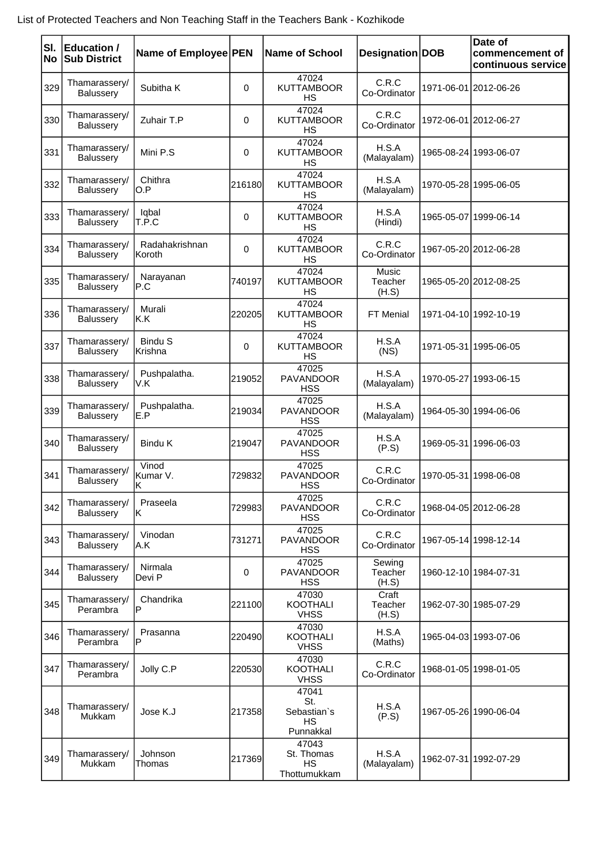| SI.<br><b>No</b> | <b>Education /</b><br><b>Sub District</b> | Name of Employee PEN      |          | <b>Name of School</b>                                 | Designation DOB                  | Date of<br>commencement of<br>continuous service |
|------------------|-------------------------------------------|---------------------------|----------|-------------------------------------------------------|----------------------------------|--------------------------------------------------|
| 329              | Thamarassery/<br><b>Balussery</b>         | Subitha K                 | $\Omega$ | 47024<br><b>KUTTAMBOOR</b><br>HS                      | C.R.C<br>Co-Ordinator            | 1971-06-01 2012-06-26                            |
| 330              | Thamarassery/<br><b>Balussery</b>         | Zuhair T.P                | 0        | 47024<br><b>KUTTAMBOOR</b><br><b>HS</b>               | C.R.C<br>Co-Ordinator            | 1972-06-01 2012-06-27                            |
| 331              | Thamarassery/<br><b>Balussery</b>         | Mini P.S                  | 0        | 47024<br><b>KUTTAMBOOR</b><br>HS                      | H.S.A<br>(Malayalam)             | 1965-08-24 1993-06-07                            |
| 332              | Thamarassery/<br><b>Balussery</b>         | Chithra<br>O.P            | 216180   | 47024<br><b>KUTTAMBOOR</b><br>НS                      | H.S.A<br>(Malayalam)             | 1970-05-28 1995-06-05                            |
| 333              | Thamarassery/<br><b>Balussery</b>         | Iqbal<br>T.P.C            | 0        | 47024<br><b>KUTTAMBOOR</b><br><b>HS</b>               | H.S.A<br>(Hindi)                 | 1965-05-07 1999-06-14                            |
| 334              | Thamarassery/<br><b>Balussery</b>         | Radahakrishnan<br>Koroth  | 0        | 47024<br><b>KUTTAMBOOR</b><br>HS                      | C.R.C<br>Co-Ordinator            | 1967-05-20 2012-06-28                            |
| 335              | Thamarassery/<br><b>Balussery</b>         | Narayanan<br>P.C          | 740197   | 47024<br><b>KUTTAMBOOR</b><br>HS                      | <b>Music</b><br>Teacher<br>(H.S) | 1965-05-20 2012-08-25                            |
| 336              | Thamarassery/<br><b>Balussery</b>         | Murali<br>K.K             | 220205   | 47024<br><b>KUTTAMBOOR</b><br>НS                      | FT Menial                        | 1971-04-10 1992-10-19                            |
| 337              | Thamarassery/<br><b>Balussery</b>         | <b>Bindu S</b><br>Krishna | $\Omega$ | 47024<br><b>KUTTAMBOOR</b><br><b>HS</b>               | H.S.A<br>(NS)                    | 1971-05-3111995-06-05                            |
| 338              | Thamarassery/<br><b>Balussery</b>         | Pushpalatha.<br>V.K       | 219052   | 47025<br><b>PAVANDOOR</b><br><b>HSS</b>               | H.S.A<br>(Malayalam)             | 1970-05-2711993-06-15                            |
| 339              | Thamarassery/<br><b>Balussery</b>         | Pushpalatha.<br>E.P       | 219034   | 47025<br><b>PAVANDOOR</b><br><b>HSS</b>               | H.S.A<br>(Malayalam)             | 1964-05-30 1994-06-06                            |
| 340              | Thamarassery/<br><b>Balussery</b>         | <b>Bindu K</b>            | 219047   | 47025<br><b>PAVANDOOR</b><br><b>HSS</b>               | H.S.A<br>(P.S)                   | 1969-05-31 1996-06-03                            |
| 341              | Thamarassery/<br>Balussery                | Vinod<br>Kumar V.<br>Κ    | 729832   | 47025<br><b>PAVANDOOR</b><br><b>HSS</b>               | C.R.C<br>Co-Ordinator            | 1970-05-31 1998-06-08                            |
| 342              | Thamarassery/<br><b>Balussery</b>         | Praseela<br>Κ             | 729983   | 47025<br><b>PAVANDOOR</b><br><b>HSS</b>               | C.R.C<br>Co-Ordinator            | 1968-04-05 2012-06-28                            |
| 343              | Thamarassery/<br>Balussery                | Vinodan<br>A.K            | 731271   | 47025<br><b>PAVANDOOR</b><br><b>HSS</b>               | C.R.C<br>Co-Ordinator            | 1967-05-14 1998-12-14                            |
| 344              | Thamarassery/<br>Balussery                | Nirmala<br>Devi P         | 0        | 47025<br><b>PAVANDOOR</b><br><b>HSS</b>               | Sewing<br>Teacher<br>(H.S)       | 1960-12-10 1984-07-31                            |
| 345              | Thamarassery/<br>Perambra                 | Chandrika<br>P            | 221100   | 47030<br><b>KOOTHALI</b><br><b>VHSS</b>               | Craft<br>Teacher<br>(H.S)        | 1962-07-30 1985-07-29                            |
| 346              | Thamarassery/<br>Perambra                 | Prasanna<br>P             | 220490   | 47030<br><b>KOOTHALI</b><br><b>VHSS</b>               | H.S.A<br>(Maths)                 | 1965-04-03 1993-07-06                            |
| 347              | Thamarassery/<br>Perambra                 | Jolly C.P                 | 220530   | 47030<br><b>KOOTHALI</b><br><b>VHSS</b>               | C.R.C<br>Co-Ordinator            | 1968-01-05 1998-01-05                            |
| 348              | Thamarassery/<br>Mukkam                   | Jose K.J                  | 217358   | 47041<br>St.<br>Sebastian's<br><b>HS</b><br>Punnakkal | H.S.A<br>(P.S)                   | 1967-05-26 1990-06-04                            |
| 349              | Thamarassery/<br>Mukkam                   | Johnson<br>Thomas         | 217369   | 47043<br>St. Thomas<br><b>HS</b><br>Thottumukkam      | H.S.A<br>(Malayalam)             | 1962-07-31 1992-07-29                            |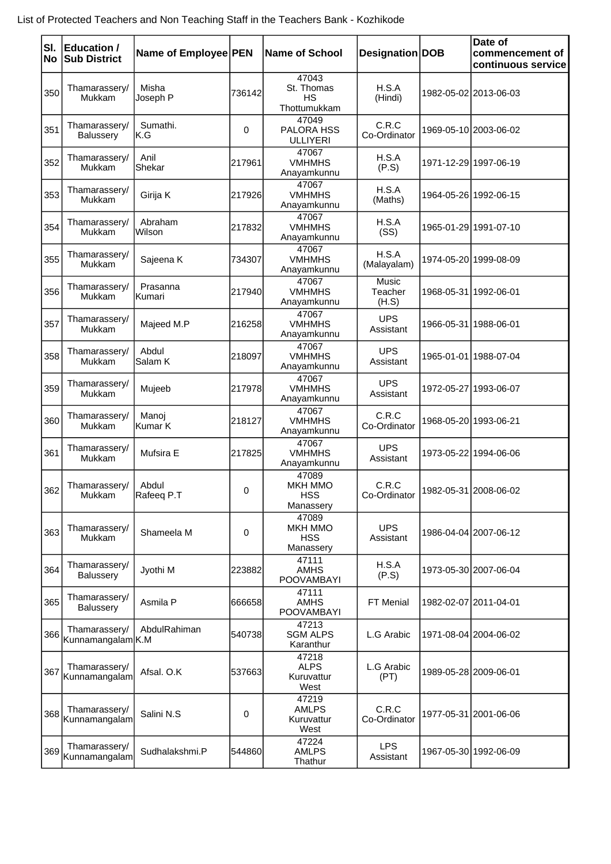| SI.<br>No | Education /<br><b>Sub District</b> | Name of Employee PEN |        | <b>Name of School</b>                              | Designation   DOB         | Date of<br>commencement of<br>continuous service |
|-----------|------------------------------------|----------------------|--------|----------------------------------------------------|---------------------------|--------------------------------------------------|
| 350       | Thamarassery/<br>Mukkam            | Misha<br>Joseph P    | 736142 | 47043<br>St. Thomas<br>НS<br>Thottumukkam          | H.S.A<br>(Hindi)          | 1982-05-02 2013-06-03                            |
| 351       | Thamarassery/<br><b>Balussery</b>  | Sumathi.<br>K.G      | 0      | 47049<br>PALORA HSS<br><b>ULLIYERI</b>             | C.R.C<br>Co-Ordinator     | 1969-05-10 2003-06-02                            |
| 352       | Thamarassery/<br>Mukkam            | Anil<br>Shekar       | 217961 | 47067<br><b>VMHMHS</b><br>Anayamkunnu              | H.S.A<br>(P.S)            | 1971-12-29 1997-06-19                            |
| 353       | Thamarassery/<br>Mukkam            | Girija K             | 217926 | 47067<br><b>VMHMHS</b><br>Anayamkunnu              | H.S.A<br>(Maths)          | 1964-05-26 1992-06-15                            |
| 354       | Thamarassery/<br>Mukkam            | Abraham<br>Wilson    | 217832 | 47067<br><b>VMHMHS</b><br>Anayamkunnu              | H.S.A<br>(SS)             | 1965-01-29 1991-07-10                            |
| 355       | Thamarassery/<br>Mukkam            | Sajeena K            | 734307 | 47067<br><b>VMHMHS</b><br>Anayamkunnu              | H.S.A<br>(Malayalam)      | 1974-05-20 1999-08-09                            |
| 356       | Thamarassery/<br>Mukkam            | Prasanna<br>Kumari   | 217940 | 47067<br><b>VMHMHS</b><br>Anayamkunnu              | Music<br>Teacher<br>(H.S) | 1968-05-31 1992-06-01                            |
| 357       | Thamarassery/<br>Mukkam            | Majeed M.P           | 216258 | 47067<br><b>VMHMHS</b><br>Anayamkunnu              | <b>UPS</b><br>Assistant   | 1966-05-31 1988-06-01                            |
| 358       | Thamarassery/<br>Mukkam            | Abdul<br>Salam K     | 218097 | 47067<br><b>VMHMHS</b><br>Anayamkunnu              | <b>UPS</b><br>Assistant   | 1965-01-01   1988-07-04                          |
| 359       | Thamarassery/<br>Mukkam            | Mujeeb               | 217978 | 47067<br><b>VMHMHS</b><br>Anayamkunnu              | <b>UPS</b><br>Assistant   | 1972-05-27 1993-06-07                            |
| 360       | Thamarassery/<br>Mukkam            | Manoj<br>Kumar K     | 218127 | 47067<br><b>VMHMHS</b><br>Anayamkunnu              | C.R.C<br>Co-Ordinator     | 1968-05-20 1993-06-21                            |
| 361       | Thamarassery/<br>Mukkam            | Mufsira E            | 217825 | 47067<br><b>VMHMHS</b><br>Anayamkunnu              | <b>UPS</b><br>Assistant   | 1973-05-22 1994-06-06                            |
| 362       | Thamarassery/<br>Mukkam            | Abdul<br>Rafeeq P.T  | 0      | 47089<br><b>MKH MMO</b><br><b>HSS</b><br>Manassery | C.R.C<br>Co-Ordinator     | 1982-05-31 2008-06-02                            |
| 363       | Thamarassery/<br>Mukkam            | Shameela M           | 0      | 47089<br><b>MKH MMO</b><br><b>HSS</b><br>Manassery | <b>UPS</b><br>Assistant   | 1986-04-04 2007-06-12                            |
| 364       | Thamarassery/<br><b>Balussery</b>  | Jyothi M             | 223882 | 47111<br><b>AMHS</b><br><b>POOVAMBAYI</b>          | H.S.A<br>(P.S)            | 1973-05-30 2007-06-04                            |
| 365       | Thamarassery/<br><b>Balussery</b>  | Asmila P             | 666658 | 47111<br><b>AMHS</b><br><b>POOVAMBAYI</b>          | FT Menial                 | 1982-02-07 2011-04-01                            |
| 366       | Thamarassery/<br>Kunnamangalam K.M | AbdulRahiman         | 540738 | 47213<br><b>SGM ALPS</b><br>Karanthur              | L.G Arabic                | 1971-08-04 2004-06-02                            |
| 367       | Thamarassery/<br>Kunnamangalam     | Afsal, O.K           | 537663 | 47218<br><b>ALPS</b><br>Kuruvattur<br>West         | L.G Arabic<br>(PT)        | 1989-05-28 2009-06-01                            |
| 368       | Thamarassery/<br>Kunnamangalam     | Salini N.S           | 0      | 47219<br><b>AMLPS</b><br>Kuruvattur<br>West        | C.R.C<br>Co-Ordinator     | 1977-05-31 2001-06-06                            |
| 369       | Thamarassery/<br>Kunnamangalam     | Sudhalakshmi.P       | 544860 | 47224<br><b>AMLPS</b><br>Thathur                   | <b>LPS</b><br>Assistant   | 1967-05-30 1992-06-09                            |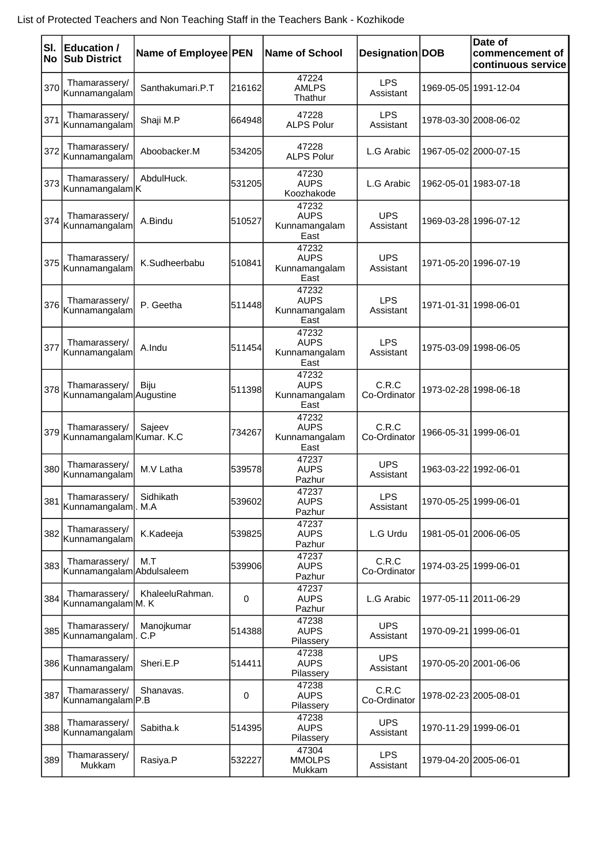| SI.<br>No | <b>Education /</b><br><b>Sub District</b>      | Name of Employee PEN |        | <b>Name of School</b>                         | Designation DOB         | Date of<br>commencement of<br>continuous service |
|-----------|------------------------------------------------|----------------------|--------|-----------------------------------------------|-------------------------|--------------------------------------------------|
| 370       | Thamarassery/<br>Kunnamangalam                 | Santhakumari.P.T     | 216162 | 47224<br><b>AMLPS</b><br>Thathur              | <b>LPS</b><br>Assistant | 1969-05-05 1991-12-04                            |
| 371       | Thamarassery/<br>Kunnamangalam                 | Shaji M.P            | 664948 | 47228<br><b>ALPS Polur</b>                    | <b>LPS</b><br>Assistant | 1978-03-30 2008-06-02                            |
| 372       | Thamarassery/<br>Kunnamangalam                 | Aboobacker.M         | 534205 | 47228<br><b>ALPS Polur</b>                    | L.G Arabic              | 1967-05-02 2000-07-15                            |
| 373       | Thamarassery/<br>KunnamangalamK                | AbdulHuck.           | 531205 | 47230<br><b>AUPS</b><br>Koozhakode            | L.G Arabic              | 1962-05-01 1983-07-18                            |
| 374       | Thamarassery/<br>Kunnamangalam                 | A.Bindu              | 510527 | 47232<br><b>AUPS</b><br>Kunnamangalam<br>East | <b>UPS</b><br>Assistant | 1969-03-28 1996-07-12                            |
| 375       | Thamarassery/<br>Kunnamangalam                 | K.Sudheerbabu        | 510841 | 47232<br><b>AUPS</b><br>Kunnamangalam<br>East | <b>UPS</b><br>Assistant | 1971-05-20 1996-07-19                            |
| 376       | Thamarassery/<br>Kunnamangalam                 | P. Geetha            | 511448 | 47232<br><b>AUPS</b><br>Kunnamangalam<br>East | <b>LPS</b><br>Assistant | 1971-01-31 1998-06-01                            |
| 377       | Thamarassery/<br>Kunnamangalam                 | A.Indu               | 511454 | 47232<br><b>AUPS</b><br>Kunnamangalam<br>East | <b>LPS</b><br>Assistant | 1975-03-09 1998-06-05                            |
| 378       | Thamarassery/<br>Kunnamangalam Augustine       | Biju                 | 511398 | 47232<br><b>AUPS</b><br>Kunnamangalam<br>East | C.R.C<br>Co-Ordinator   | 1973-02-28 1998-06-18                            |
| 379       | Thamarassery/<br>Kunnamangalam Kumar. K.C      | Sajeev               | 734267 | 47232<br><b>AUPS</b><br>Kunnamangalam<br>East | C.R.C<br>Co-Ordinator   | 1966-05-31 1999-06-01                            |
| 380       | Thamarassery/<br>Kunnamangalam                 | M.V Latha            | 539578 | 47237<br><b>AUPS</b><br>Pazhur                | <b>UPS</b><br>Assistant | 1963-03-22 1992-06-01                            |
|           | Thamarassery/<br>381 Kunnamangalam             | Sidhikath<br>M.A     | 539602 | 47237<br><b>AUPS</b><br>Pazhur                | LPS<br>Assistant        | 1970-05-25 1999-06-01                            |
|           | Thamarassery/<br>382 Kunnamangalam             | K.Kadeeja            | 539825 | 47237<br><b>AUPS</b><br>Pazhur                | L.G Urdu                | 1981-05-01 2006-06-05                            |
|           | Thamarassery/<br>383 Kunnamangalam Abdulsaleem | M.T                  | 539906 | 47237<br><b>AUPS</b><br>Pazhur                | C.R.C<br>Co-Ordinator   | 1974-03-2511999-06-01                            |
|           | Thamarassery/<br>384 Kunnamangalam M. K        | KhaleeluRahman.      | 0      | 47237<br><b>AUPS</b><br>Pazhur                | L.G Arabic              | 1977-05-11 2011-06-29                            |
| 385       | Thamarassery/<br>Kunnamangalam.                | Manojkumar<br>C.P    | 514388 | 47238<br><b>AUPS</b><br>Pilassery             | <b>UPS</b><br>Assistant | 1970-09-21 1999-06-01                            |
| 386       | Thamarassery/<br>Kunnamangalam                 | Sheri.E.P            | 514411 | 47238<br><b>AUPS</b><br>Pilassery             | <b>UPS</b><br>Assistant | 1970-05-20 2001-06-06                            |
|           | Thamarassery/<br>387 Kunnamangalam P.B         | Shanavas.            | 0      | 47238<br><b>AUPS</b><br>Pilassery             | C.R.C<br>Co-Ordinator   | 1978-02-23 2005-08-01                            |
| 388       | Thamarassery/<br>Kunnamangalam                 | Sabitha.k            | 514395 | 47238<br><b>AUPS</b><br>Pilassery             | <b>UPS</b><br>Assistant | 1970-11-29 1999-06-01                            |
| 389       | Thamarassery/<br>Mukkam                        | Rasiya.P             | 532227 | 47304<br><b>MMOLPS</b><br>Mukkam              | <b>LPS</b><br>Assistant | 1979-04-20 2005-06-01                            |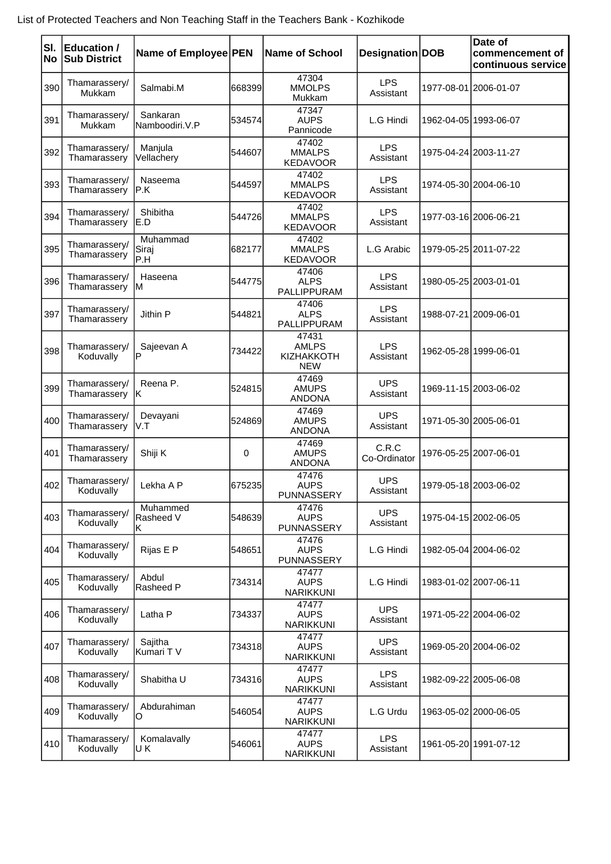| SI.<br><b>No</b> | <b>Education /</b><br><b>Sub District</b> | Name of Employee PEN       |        | <b>Name of School</b>                             | Designation DOB         | Date of<br>commencement of<br>continuous service |
|------------------|-------------------------------------------|----------------------------|--------|---------------------------------------------------|-------------------------|--------------------------------------------------|
| 390              | Thamarassery/<br>Mukkam                   | Salmabi.M                  | 668399 | 47304<br><b>MMOLPS</b><br>Mukkam                  | <b>LPS</b><br>Assistant | 1977-08-01 2006-01-07                            |
| 391              | Thamarassery/<br>Mukkam                   | Sankaran<br>Namboodiri.V.P | 534574 | 47347<br><b>AUPS</b><br>Pannicode                 | L.G Hindi               | 1962-04-05 1993-06-07                            |
| 392              | Thamarassery/<br>Thamarassery             | Manjula<br>Vellachery      | 544607 | 47402<br><b>MMALPS</b><br><b>KEDAVOOR</b>         | <b>LPS</b><br>Assistant | 1975-04-24 2003-11-27                            |
| 393              | Thamarassery/<br>Thamarassery             | Naseema<br>P.K             | 544597 | 47402<br><b>MMALPS</b><br><b>KEDAVOOR</b>         | <b>LPS</b><br>Assistant | 1974-05-30 2004-06-10                            |
| 394              | Thamarassery/<br>Thamarassery             | Shibitha<br>IE.D           | 544726 | 47402<br><b>MMALPS</b><br><b>KEDAVOOR</b>         | <b>LPS</b><br>Assistant | 1977-03-16 2006-06-21                            |
| 395              | Thamarassery/<br>Thamarassery             | Muhammad<br>Siraj<br>P.H   | 682177 | 47402<br><b>MMALPS</b><br><b>KEDAVOOR</b>         | L.G Arabic              | 1979-05-25 2011-07-22                            |
| 396              | Thamarassery/<br>Thamarassery             | Haseena<br>ΙM              | 544775 | 47406<br><b>ALPS</b><br>PALLIPPURAM               | <b>LPS</b><br>Assistant | 1980-05-25 2003-01-01                            |
| 397              | Thamarassery/<br>Thamarassery             | Jithin P                   | 544821 | 47406<br><b>ALPS</b><br>PALLIPPURAM               | <b>LPS</b><br>Assistant | 1988-07-21 2009-06-01                            |
| 398              | Thamarassery/<br>Koduvally                | Sajeevan A<br>P            | 734422 | 47431<br><b>AMLPS</b><br>KIZHAKKOTH<br><b>NEW</b> | <b>LPS</b><br>Assistant | 1962-05-28 1999-06-01                            |
| 399              | Thamarassery/<br>Thamarassery             | Reena P.<br>ΙK             | 524815 | 47469<br><b>AMUPS</b><br><b>ANDONA</b>            | <b>UPS</b><br>Assistant | 1969-11-15 2003-06-02                            |
| 400              | Thamarassery/<br>Thamarassery             | Devayani<br>V.T            | 524869 | 47469<br>AMUPS<br><b>ANDONA</b>                   | <b>UPS</b><br>Assistant | 1971-05-30 2005-06-01                            |
| 401              | Thamarassery/<br>Thamarassery             | Shiji K                    | 0      | 47469<br><b>AMUPS</b><br><b>ANDONA</b>            | C.R.C<br>Co-Ordinator   | 1976-05-25 2007-06-01                            |
| 402              | Thamarassery/<br>Koduvally                | Lekha A P                  | 675235 | 47476<br><b>AUPS</b><br>PUNNASSERY                | <b>UPS</b><br>Assistant | 1979-05-18 2003-06-02                            |
| 403              | Thamarassery/<br>Koduvally                | Muhammed<br>Rasheed V<br>Κ | 548639 | 47476<br><b>AUPS</b><br>PUNNASSERY                | <b>UPS</b><br>Assistant | 1975-04-15 2002-06-05                            |
| 404              | Thamarassery/<br>Koduvally                | Rijas E P                  | 548651 | 47476<br><b>AUPS</b><br>PUNNASSERY                | L.G Hindi               | 1982-05-04 2004-06-02                            |
| 405              | Thamarassery/<br>Koduvally                | Abdul<br>Rasheed P         | 734314 | 47477<br><b>AUPS</b><br>NARIKKUNI                 | L.G Hindi               | 1983-01-02 2007-06-11                            |
| 406              | Thamarassery/<br>Koduvally                | Latha P                    | 734337 | 47477<br><b>AUPS</b><br>NARIKKUNI                 | <b>UPS</b><br>Assistant | 1971-05-22 2004-06-02                            |
| 407              | Thamarassery/<br>Koduvally                | Sajitha<br>Kumari TV       | 734318 | 47477<br><b>AUPS</b><br>NARIKKUNI                 | <b>UPS</b><br>Assistant | 1969-05-20 2004-06-02                            |
| 408              | Thamarassery/<br>Koduvally                | Shabitha U                 | 734316 | 47477<br><b>AUPS</b><br>NARIKKUNI                 | <b>LPS</b><br>Assistant | 1982-09-22 2005-06-08                            |
| 409              | Thamarassery/<br>Koduvally                | Abdurahiman<br>O           | 546054 | 47477<br><b>AUPS</b><br><b>NARIKKUNI</b>          | L.G Urdu                | 1963-05-02 2000-06-05                            |
| 410              | Thamarassery/<br>Koduvally                | Komalavally<br>U K         | 546061 | 47477<br><b>AUPS</b><br><b>NARIKKUNI</b>          | <b>LPS</b><br>Assistant | 1961-05-20 1991-07-12                            |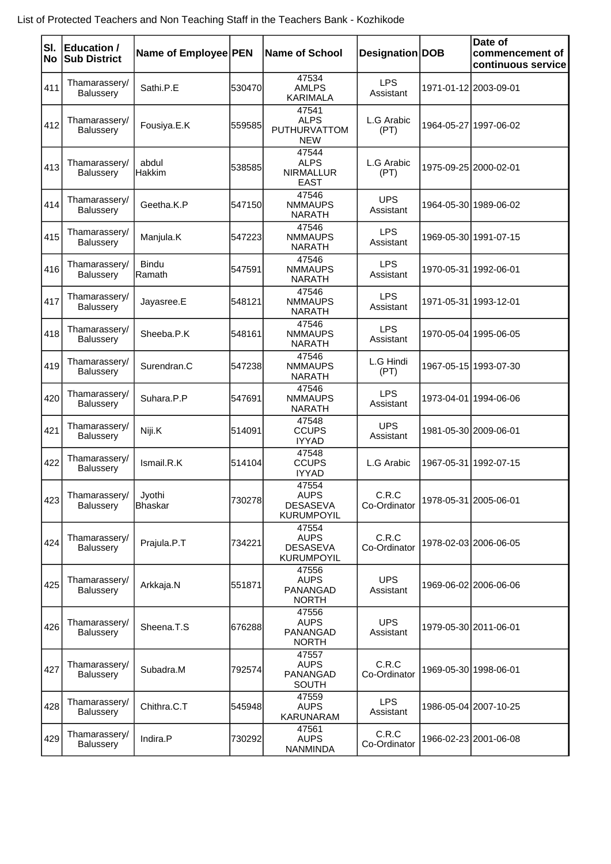| SI.<br>No | <b>Education /</b><br><b>Sub District</b> | Name of Employee PEN   |        | <b>Name of School</b>                                        | Designation DOB         | Date of<br>commencement of<br>continuous service |
|-----------|-------------------------------------------|------------------------|--------|--------------------------------------------------------------|-------------------------|--------------------------------------------------|
| 411       | Thamarassery/<br><b>Balussery</b>         | Sathi.P.E              | 530470 | 47534<br><b>AMLPS</b><br><b>KARIMALA</b>                     | <b>LPS</b><br>Assistant | 1971-01-12 2003-09-01                            |
| 412       | Thamarassery/<br><b>Balussery</b>         | Fousiya.E.K            | 559585 | 47541<br><b>ALPS</b><br>PUTHURVATTOM<br><b>NEW</b>           | L.G Arabic<br>(PT)      | 1964-05-27 1997-06-02                            |
| 413       | Thamarassery/<br>Balussery                | abdul<br><b>Hakkim</b> | 538585 | 47544<br><b>ALPS</b><br><b>NIRMALLUR</b><br><b>EAST</b>      | L.G Arabic<br>(PT)      | 1975-09-25 2000-02-01                            |
| 414       | Thamarassery/<br><b>Balussery</b>         | Geetha.K.P             | 547150 | 47546<br><b>NMMAUPS</b><br><b>NARATH</b>                     | <b>UPS</b><br>Assistant | 1964-05-30 1989-06-02                            |
| 415       | Thamarassery/<br>Balussery                | Manjula.K              | 547223 | 47546<br><b>NMMAUPS</b><br><b>NARATH</b>                     | <b>LPS</b><br>Assistant | 1969-05-30 1991-07-15                            |
| 416       | Thamarassery/<br>Balussery                | <b>Bindu</b><br>Ramath | 547591 | 47546<br><b>NMMAUPS</b><br><b>NARATH</b>                     | <b>LPS</b><br>Assistant | 1970-05-31 1992-06-01                            |
| 417       | Thamarassery/<br><b>Balussery</b>         | Jayasree.E             | 548121 | 47546<br><b>NMMAUPS</b><br><b>NARATH</b>                     | <b>LPS</b><br>Assistant | 1971-05-31 1993-12-01                            |
| 418       | Thamarassery/<br><b>Balussery</b>         | Sheeba.P.K             | 548161 | 47546<br><b>NMMAUPS</b><br><b>NARATH</b>                     | <b>LPS</b><br>Assistant | 1970-05-04 1995-06-05                            |
| 419       | Thamarassery/<br><b>Balussery</b>         | Surendran.C            | 547238 | 47546<br><b>NMMAUPS</b><br><b>NARATH</b>                     | L.G Hindi<br>(PT)       | 1967-05-15 1993-07-30                            |
| 420       | Thamarassery/<br>Balussery                | Suhara.P.P             | 547691 | 47546<br><b>NMMAUPS</b><br><b>NARATH</b>                     | <b>LPS</b><br>Assistant | 1973-04-01 1994-06-06                            |
| 421       | Thamarassery/<br>Balussery                | Niji.K                 | 514091 | 47548<br><b>CCUPS</b><br><b>IYYAD</b>                        | <b>UPS</b><br>Assistant | 1981-05-30 2009-06-01                            |
| 422       | Thamarassery/<br><b>Balussery</b>         | Ismail.R.K             | 514104 | 47548<br><b>CCUPS</b><br><b>IYYAD</b>                        | L.G Arabic              | 1967-05-31 1992-07-15                            |
| 423       | Thamarassery/<br>Balussery                | Jyothi<br>Bhaskar      | 730278 | 47554<br><b>AUPS</b><br><b>DESASEVA</b><br><b>KURUMPOYIL</b> | C.R.C<br>Co-Ordinator   | 1978-05-31 2005-06-01                            |
| 424       | Thamarassery/<br><b>Balussery</b>         | Prajula.P.T            | 734221 | 47554<br><b>AUPS</b><br><b>DESASEVA</b><br><b>KURUMPOYIL</b> | C.R.C<br>Co-Ordinator   | 1978-02-03 2006-06-05                            |
| 425       | Thamarassery/<br><b>Balussery</b>         | Arkkaja.N              | 551871 | 47556<br><b>AUPS</b><br>PANANGAD<br><b>NORTH</b>             | <b>UPS</b><br>Assistant | 1969-06-02 2006-06-06                            |
| 426       | Thamarassery/<br><b>Balussery</b>         | Sheena.T.S             | 676288 | 47556<br><b>AUPS</b><br>PANANGAD<br><b>NORTH</b>             | <b>UPS</b><br>Assistant | 1979-05-30 2011-06-01                            |
| 427       | Thamarassery/<br><b>Balussery</b>         | Subadra.M              | 792574 | 47557<br><b>AUPS</b><br>PANANGAD<br><b>SOUTH</b>             | C.R.C<br>Co-Ordinator   | 1969-05-30 1998-06-01                            |
| 428       | Thamarassery/<br><b>Balussery</b>         | Chithra.C.T            | 545948 | 47559<br><b>AUPS</b><br>KARUNARAM                            | <b>LPS</b><br>Assistant | 1986-05-04 2007-10-25                            |
| 429       | Thamarassery/<br>Balussery                | Indira.P               | 730292 | 47561<br><b>AUPS</b><br>NANMINDA                             | C.R.C<br>Co-Ordinator   | 1966-02-23 2001-06-08                            |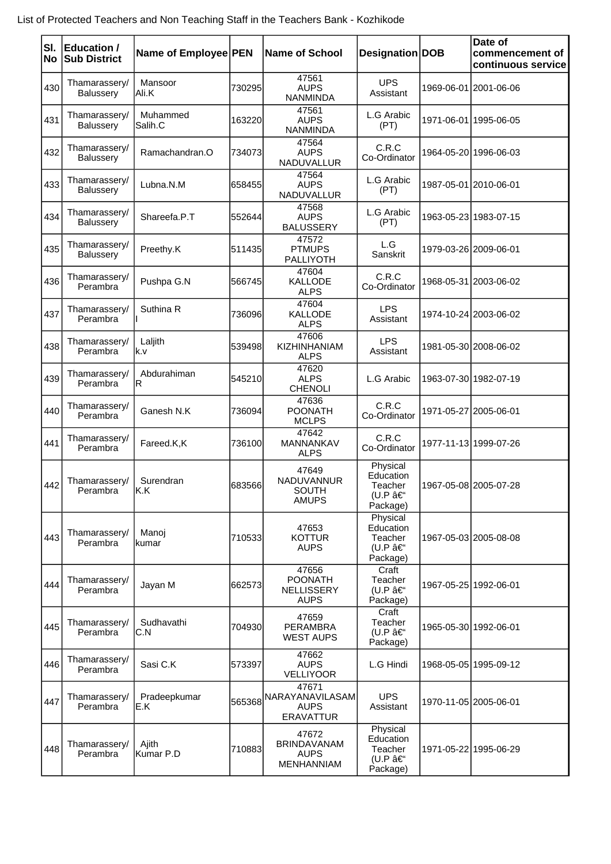| SI.<br>No | <b>Education /</b><br><b>Sub District</b> | Name of Employee PEN |        | <b>Name of School</b>                                                        | Designation DOB                                        | Date of<br>commencement of<br>continuous service |
|-----------|-------------------------------------------|----------------------|--------|------------------------------------------------------------------------------|--------------------------------------------------------|--------------------------------------------------|
| 430       | Thamarassery/<br><b>Balussery</b>         | Mansoor<br>Ali.K     | 730295 | 47561<br><b>AUPS</b><br><b>NANMINDA</b>                                      | <b>UPS</b><br>Assistant                                | 1969-06-01 2001-06-06                            |
| 431       | Thamarassery/<br><b>Balussery</b>         | Muhammed<br>Salih.C  | 163220 | 47561<br><b>AUPS</b><br><b>NANMINDA</b>                                      | L.G Arabic<br>(PT)                                     | 1971-06-01 1995-06-05                            |
| 432       | Thamarassery/<br>Balussery                | Ramachandran.O       | 734073 | 47564<br><b>AUPS</b><br>NADUVALLUR                                           | C.R.C<br>Co-Ordinator                                  | 1964-05-20 1996-06-03                            |
| 433       | Thamarassery/<br><b>Balussery</b>         | Lubna.N.M            | 658455 | 47564<br><b>AUPS</b><br>NADUVALLUR                                           | L.G Arabic<br>(PT)                                     | 1987-05-01 2010-06-01                            |
| 434       | Thamarassery/<br><b>Balussery</b>         | Shareefa.P.T         | 552644 | 47568<br><b>AUPS</b><br><b>BALUSSERY</b>                                     | L.G Arabic<br>(PT)                                     | 1963-05-23 1983-07-15                            |
| 435       | Thamarassery/<br><b>Balussery</b>         | Preethy.K            | 511435 | 47572<br><b>PTMUPS</b><br><b>PALLIYOTH</b>                                   | L.G<br>Sanskrit                                        | 1979-03-26 2009-06-01                            |
| 436       | Thamarassery/<br>Perambra                 | Pushpa G.N           | 566745 | 47604<br><b>KALLODE</b><br><b>ALPS</b>                                       | C.R.C<br>Co-Ordinator                                  | 1968-05-31 2003-06-02                            |
| 437       | Thamarassery/<br>Perambra                 | Suthina R            | 736096 | 47604<br><b>KALLODE</b><br><b>ALPS</b>                                       | <b>LPS</b><br>Assistant                                | 1974-10-24 2003-06-02                            |
| 438       | Thamarassery/<br>Perambra                 | Laljith<br>k.v       | 539498 | 47606<br>KIZHINHANIAM<br><b>ALPS</b>                                         | <b>LPS</b><br>Assistant                                | 1981-05-30 2008-06-02                            |
| 439       | Thamarassery/<br>Perambra                 | Abdurahiman<br>R     | 545210 | 47620<br><b>ALPS</b><br><b>CHENOLI</b>                                       | L.G Arabic                                             | 1963-07-30 1982-07-19                            |
| 440       | Thamarassery/<br>Perambra                 | Ganesh N.K           | 736094 | 47636<br><b>POONATH</b><br><b>MCLPS</b>                                      | C.R.C<br>Co-Ordinator                                  | 1971-05-27 2005-06-01                            |
| 441       | Thamarassery/<br>Perambra                 | Fareed.K,K           | 736100 | 47642<br>MANNANKAV<br><b>ALPS</b>                                            | C.R.C<br>Co-Ordinator                                  | 1977-11-13 1999-07-26                            |
| 442       | Thamarassery/<br>Perambra                 | Surendran<br>K.K     | 683566 | 47649<br><b>NADUVANNUR</b><br><b>SOUTH</b><br><b>AMUPS</b>                   | Physical<br>Education<br>Teacher<br>(U.P –<br>Package) | 1967-05-08 2005-07-28                            |
| 443       | Thamarassery/<br>Perambra                 | Manoj<br>kumar       | 710533 | 47653<br><b>KOTTUR</b><br><b>AUPS</b>                                        | Physical<br>Education<br>Teacher<br>(U.P –<br>Package) | 1967-05-03 2005-08-08                            |
| 444       | Thamarassery/<br>Perambra                 | Jayan M              | 662573 | 47656<br><b>POONATH</b><br><b>NELLISSERY</b><br><b>AUPS</b>                  | Craft<br>Teacher<br>(U.P –<br>Package)                 | 1967-05-25 1992-06-01                            |
| 445       | Thamarassery/<br>Perambra                 | Sudhavathi<br>C.N    | 704930 | 47659<br><b>PERAMBRA</b><br><b>WEST AUPS</b>                                 | Craft<br>Teacher<br>(U.P –<br>Package)                 | 1965-05-30 1992-06-01                            |
| 446       | Thamarassery/<br>Perambra                 | Sasi C.K             | 573397 | 47662<br><b>AUPS</b><br><b>VELLIYOOR</b>                                     | L.G Hindi                                              | 1968-05-05 1995-09-12                            |
| 447       | Thamarassery/<br>Perambra                 | Pradeepkumar<br>E.K  |        | 47671<br>$\approx 565368$ NARAYANAVILASAM<br><b>AUPS</b><br><b>ERAVATTUR</b> | <b>UPS</b><br>Assistant                                | 1970-11-05 2005-06-01                            |
| 448       | Thamarassery/<br>Perambra                 | Ajith<br>Kumar P.D   | 710883 | 47672<br><b>BRINDAVANAM</b><br><b>AUPS</b><br><b>MENHANNIAM</b>              | Physical<br>Education<br>Teacher<br>(U.P –<br>Package) | 1971-05-22 1995-06-29                            |